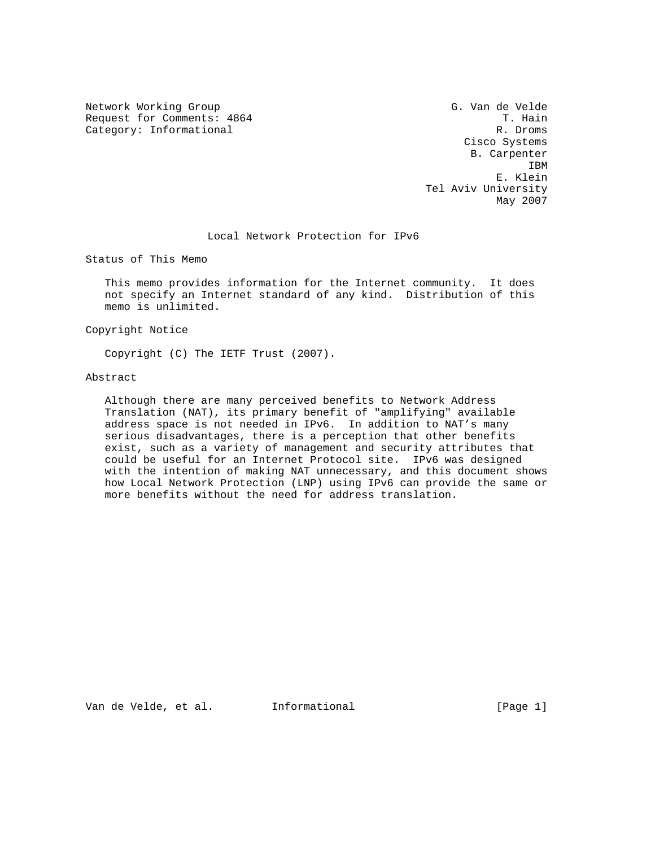Network Working Group G. Van de Velde Request for Comments: 4864 T. Hain<br>Category: Informational T. Hain Category: Informational Category: Informational

 Cisco Systems B. Carpenter **IBM IBM**  E. Klein Tel Aviv University May 2007

Local Network Protection for IPv6

Status of This Memo

 This memo provides information for the Internet community. It does not specify an Internet standard of any kind. Distribution of this memo is unlimited.

Copyright Notice

Copyright (C) The IETF Trust (2007).

Abstract

 Although there are many perceived benefits to Network Address Translation (NAT), its primary benefit of "amplifying" available address space is not needed in IPv6. In addition to NAT's many serious disadvantages, there is a perception that other benefits exist, such as a variety of management and security attributes that could be useful for an Internet Protocol site. IPv6 was designed with the intention of making NAT unnecessary, and this document shows how Local Network Protection (LNP) using IPv6 can provide the same or more benefits without the need for address translation.

Van de Velde, et al. Informational [Page 1]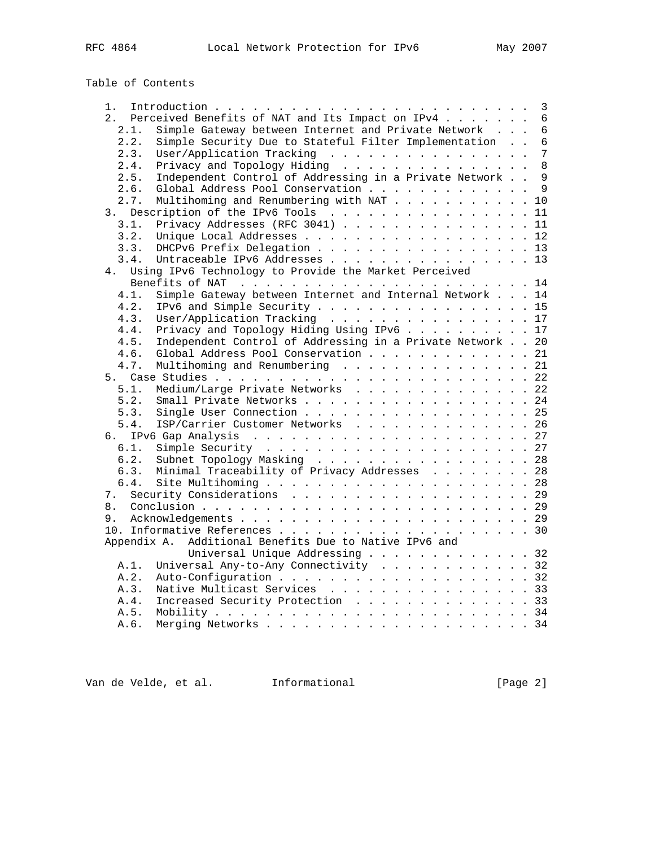| Table of Contents |  |  |
|-------------------|--|--|
|-------------------|--|--|

| 1.                                                                | 3               |
|-------------------------------------------------------------------|-----------------|
| Perceived Benefits of NAT and Its Impact on IPv4<br>2.            | $6\overline{6}$ |
| 2.1.<br>Simple Gateway between Internet and Private Network       | $6\phantom{1}$  |
| Simple Security Due to Stateful Filter Implementation<br>2.2.     | $\overline{6}$  |
| User/Application Tracking<br>2.3.                                 | $\overline{7}$  |
| Privacy and Topology Hiding<br>2.4.                               | 8               |
| Independent Control of Addressing in a Private Network<br>2.5.    | $\overline{9}$  |
| Global Address Pool Conservation<br>2.6.                          | 9               |
| Multihoming and Renumbering with NAT 10<br>2.7.                   |                 |
| Description of the IPv6 Tools<br>3.                               | 11              |
| Privacy Addresses (RFC 3041) 11<br>3.1.                           |                 |
| 3.2.                                                              |                 |
|                                                                   |                 |
| DHCPv6 Prefix Delegation 13<br>3.3.                               |                 |
| 3.4.<br>Untraceable IPv6 Addresses 13                             |                 |
| Using IPv6 Technology to Provide the Market Perceived<br>4.       |                 |
|                                                                   |                 |
| Simple Gateway between Internet and Internal Network 14<br>4.1.   |                 |
| IPv6 and Simple Security 15<br>4.2.                               |                 |
| User/Application Tracking 17<br>4.3.                              |                 |
| Privacy and Topology Hiding Using IPv6 17<br>4.4.                 |                 |
| Independent Control of Addressing in a Private Network 20<br>4.5. |                 |
| Global Address Pool Conservation 21<br>4.6.                       |                 |
| Multihoming and Renumbering 21<br>4.7.                            |                 |
|                                                                   |                 |
| Medium/Large Private Networks 22<br>5.1.                          |                 |
| Small Private Networks 24<br>5.2.                                 |                 |
| Single User Connection 25<br>5.3.                                 |                 |
| 5.4.<br>ISP/Carrier Customer Networks 26                          |                 |
| б.                                                                |                 |
| 6.1.                                                              |                 |
| Subnet Topology Masking 28<br>6.2.                                |                 |
| Minimal Traceability of Privacy Addresses 28<br>6.3.              |                 |
| 6.4.                                                              |                 |
| 7.                                                                |                 |
| 8.                                                                |                 |
| 9.                                                                |                 |
|                                                                   |                 |
| Appendix A. Additional Benefits Due to Native IPv6 and            |                 |
| Universal Unique Addressing 32                                    |                 |
|                                                                   |                 |
| Universal Any-to-Any Connectivity 32<br>A.1.                      |                 |
| A.2.                                                              |                 |
| Native Multicast Services 33<br>A.3.                              |                 |
| Increased Security Protection 33<br>A.4.                          |                 |
| A.5.                                                              |                 |
| A.6.                                                              |                 |

Van de Velde, et al. 1nformational (Page 2)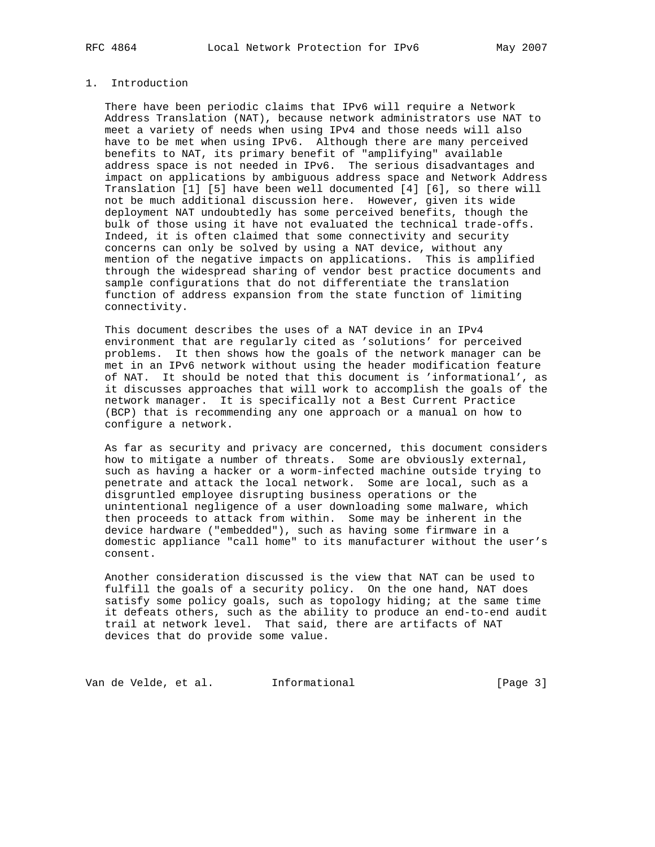# 1. Introduction

 There have been periodic claims that IPv6 will require a Network Address Translation (NAT), because network administrators use NAT to meet a variety of needs when using IPv4 and those needs will also have to be met when using IPv6. Although there are many perceived benefits to NAT, its primary benefit of "amplifying" available address space is not needed in IPv6. The serious disadvantages and impact on applications by ambiguous address space and Network Address Translation [1] [5] have been well documented [4] [6], so there will not be much additional discussion here. However, given its wide deployment NAT undoubtedly has some perceived benefits, though the bulk of those using it have not evaluated the technical trade-offs. Indeed, it is often claimed that some connectivity and security concerns can only be solved by using a NAT device, without any mention of the negative impacts on applications. This is amplified through the widespread sharing of vendor best practice documents and sample configurations that do not differentiate the translation function of address expansion from the state function of limiting connectivity.

 This document describes the uses of a NAT device in an IPv4 environment that are regularly cited as 'solutions' for perceived problems. It then shows how the goals of the network manager can be met in an IPv6 network without using the header modification feature of NAT. It should be noted that this document is 'informational', as it discusses approaches that will work to accomplish the goals of the network manager. It is specifically not a Best Current Practice (BCP) that is recommending any one approach or a manual on how to configure a network.

 As far as security and privacy are concerned, this document considers how to mitigate a number of threats. Some are obviously external, such as having a hacker or a worm-infected machine outside trying to penetrate and attack the local network. Some are local, such as a disgruntled employee disrupting business operations or the unintentional negligence of a user downloading some malware, which then proceeds to attack from within. Some may be inherent in the device hardware ("embedded"), such as having some firmware in a domestic appliance "call home" to its manufacturer without the user's consent.

 Another consideration discussed is the view that NAT can be used to fulfill the goals of a security policy. On the one hand, NAT does satisfy some policy goals, such as topology hiding; at the same time it defeats others, such as the ability to produce an end-to-end audit trail at network level. That said, there are artifacts of NAT devices that do provide some value.

Van de Velde, et al. 1nformational (Page 3)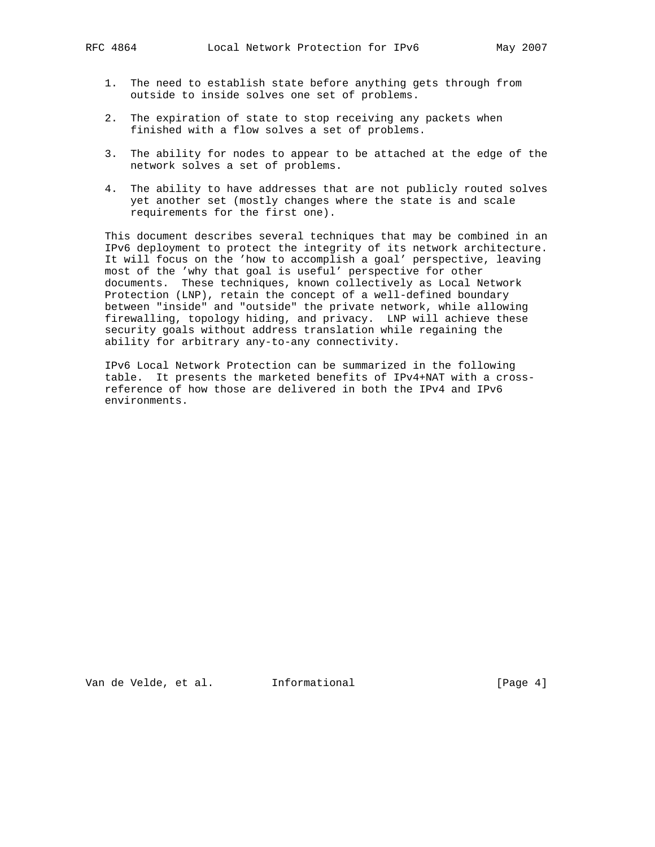- 1. The need to establish state before anything gets through from outside to inside solves one set of problems.
- 2. The expiration of state to stop receiving any packets when finished with a flow solves a set of problems.
- 3. The ability for nodes to appear to be attached at the edge of the network solves a set of problems.
- 4. The ability to have addresses that are not publicly routed solves yet another set (mostly changes where the state is and scale requirements for the first one).

 This document describes several techniques that may be combined in an IPv6 deployment to protect the integrity of its network architecture. It will focus on the 'how to accomplish a goal' perspective, leaving most of the 'why that goal is useful' perspective for other documents. These techniques, known collectively as Local Network Protection (LNP), retain the concept of a well-defined boundary between "inside" and "outside" the private network, while allowing firewalling, topology hiding, and privacy. LNP will achieve these security goals without address translation while regaining the ability for arbitrary any-to-any connectivity.

 IPv6 Local Network Protection can be summarized in the following table. It presents the marketed benefits of IPv4+NAT with a cross reference of how those are delivered in both the IPv4 and IPv6 environments.

Van de Velde, et al. Informational [Page 4]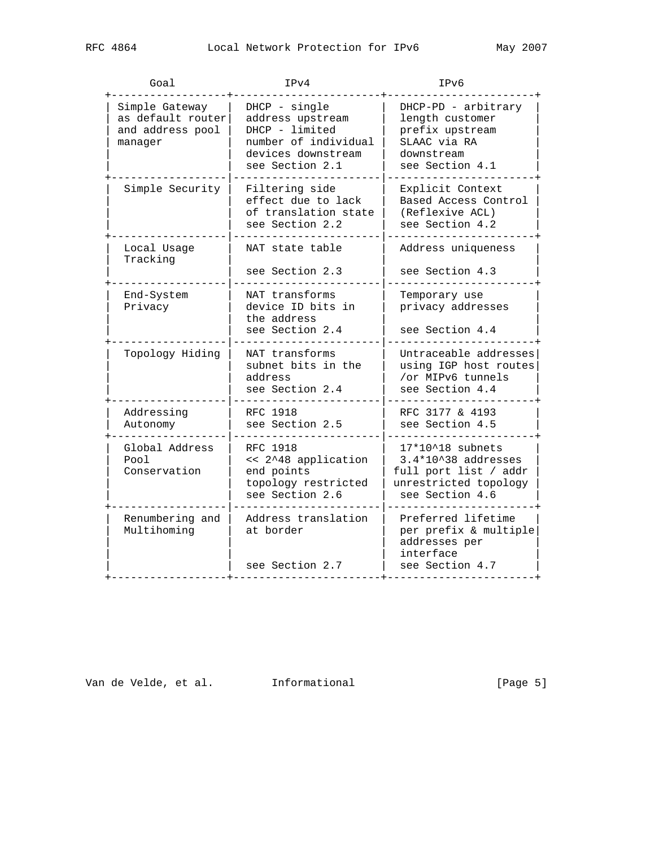| Goal | IPv4 | IPv6 |
|------|------|------|

| ⊍∪a⊥                                                               |                                                                                                                      |                                                                                                                |
|--------------------------------------------------------------------|----------------------------------------------------------------------------------------------------------------------|----------------------------------------------------------------------------------------------------------------|
| Simple Gateway<br>as default router<br>and address pool<br>manager | DHCP - single<br>address upstream<br>DHCP - limited<br>number of individual<br>devices downstream<br>see Section 2.1 | DHCP-PD - arbitrary<br>length customer<br>prefix upstream<br>SLAAC via RA<br>downstream<br>see Section 4.1     |
| Simple Security                                                    | Filtering side<br>effect due to lack<br>of translation state<br>see Section 2.2                                      | Explicit Context<br>Based Access Control<br>(Reflexive ACL)<br>see Section 4.2                                 |
| Local Usage<br>Tracking                                            | NAT state table<br>see Section 2.3                                                                                   | Address uniqueness<br>see Section 4.3                                                                          |
| End-System<br>Privacy                                              | NAT transforms<br>device ID bits in<br>the address<br>see Section 2.4                                                | Temporary use<br>privacy addresses<br>see Section 4.4                                                          |
| Topology Hiding                                                    | NAT transforms<br>subnet bits in the<br>address<br>see Section 2.4                                                   | Untraceable addresses<br>using IGP host routes<br>/or MIPv6 tunnels<br>see Section 4.4                         |
| Addressing<br>Autonomy                                             | RFC 1918<br>see Section 2.5                                                                                          | RFC 3177 & 4193<br>see Section 4.5                                                                             |
| Global Address<br>Pool<br>Conservation                             | RFC 1918<br><< 2^48 application<br>end points<br>topology restricted<br>see Section 2.6                              | $17*10^18$ subnets<br>3.4*10^38 addresses<br>full port list / addr<br>unrestricted topology<br>see Section 4.6 |
| Renumbering and<br>Multihoming                                     | Address translation<br>at border<br>see Section 2.7                                                                  | Preferred lifetime<br>per prefix & multiple<br>addresses per<br>interface<br>see Section 4.7                   |

Van de Velde, et al. 1nformational (Page 5)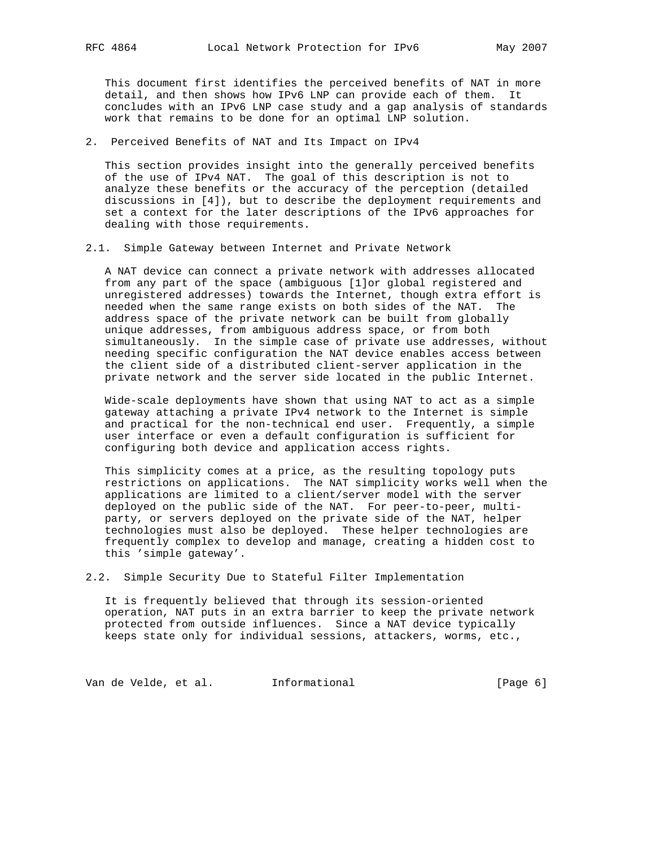This document first identifies the perceived benefits of NAT in more detail, and then shows how IPv6 LNP can provide each of them. It concludes with an IPv6 LNP case study and a gap analysis of standards work that remains to be done for an optimal LNP solution.

2. Perceived Benefits of NAT and Its Impact on IPv4

 This section provides insight into the generally perceived benefits of the use of IPv4 NAT. The goal of this description is not to analyze these benefits or the accuracy of the perception (detailed discussions in [4]), but to describe the deployment requirements and set a context for the later descriptions of the IPv6 approaches for dealing with those requirements.

2.1. Simple Gateway between Internet and Private Network

 A NAT device can connect a private network with addresses allocated from any part of the space (ambiguous [1]or global registered and unregistered addresses) towards the Internet, though extra effort is needed when the same range exists on both sides of the NAT. The address space of the private network can be built from globally unique addresses, from ambiguous address space, or from both simultaneously. In the simple case of private use addresses, without needing specific configuration the NAT device enables access between the client side of a distributed client-server application in the private network and the server side located in the public Internet.

 Wide-scale deployments have shown that using NAT to act as a simple gateway attaching a private IPv4 network to the Internet is simple and practical for the non-technical end user. Frequently, a simple user interface or even a default configuration is sufficient for configuring both device and application access rights.

 This simplicity comes at a price, as the resulting topology puts restrictions on applications. The NAT simplicity works well when the applications are limited to a client/server model with the server deployed on the public side of the NAT. For peer-to-peer, multi party, or servers deployed on the private side of the NAT, helper technologies must also be deployed. These helper technologies are frequently complex to develop and manage, creating a hidden cost to this 'simple gateway'.

2.2. Simple Security Due to Stateful Filter Implementation

 It is frequently believed that through its session-oriented operation, NAT puts in an extra barrier to keep the private network protected from outside influences. Since a NAT device typically keeps state only for individual sessions, attackers, worms, etc.,

Van de Velde, et al. 1nformational (Page 6)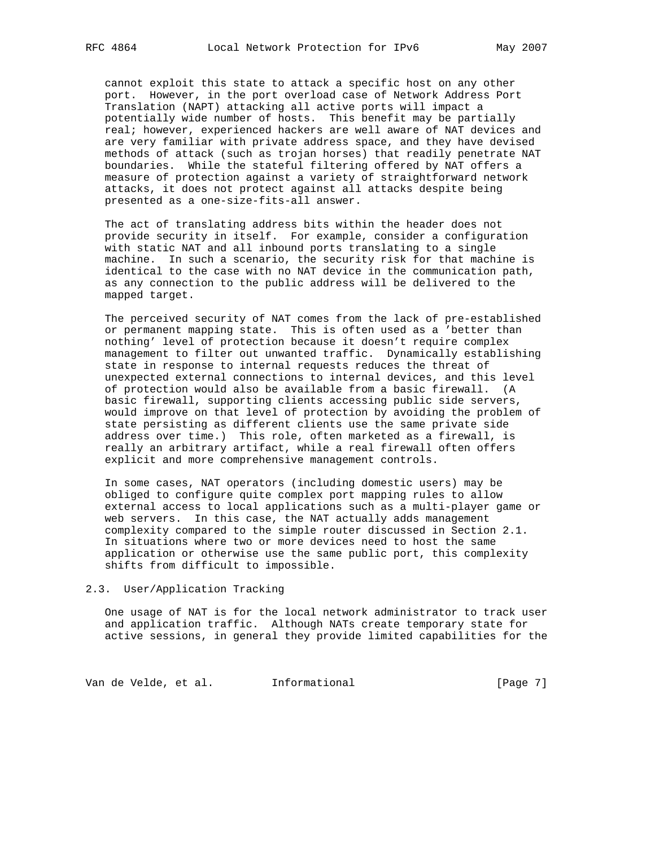cannot exploit this state to attack a specific host on any other port. However, in the port overload case of Network Address Port Translation (NAPT) attacking all active ports will impact a potentially wide number of hosts. This benefit may be partially real; however, experienced hackers are well aware of NAT devices and are very familiar with private address space, and they have devised methods of attack (such as trojan horses) that readily penetrate NAT boundaries. While the stateful filtering offered by NAT offers a measure of protection against a variety of straightforward network attacks, it does not protect against all attacks despite being presented as a one-size-fits-all answer.

 The act of translating address bits within the header does not provide security in itself. For example, consider a configuration with static NAT and all inbound ports translating to a single machine. In such a scenario, the security risk for that machine is identical to the case with no NAT device in the communication path, as any connection to the public address will be delivered to the mapped target.

 The perceived security of NAT comes from the lack of pre-established or permanent mapping state. This is often used as a 'better than nothing' level of protection because it doesn't require complex management to filter out unwanted traffic. Dynamically establishing state in response to internal requests reduces the threat of unexpected external connections to internal devices, and this level of protection would also be available from a basic firewall. (A basic firewall, supporting clients accessing public side servers, would improve on that level of protection by avoiding the problem of state persisting as different clients use the same private side address over time.) This role, often marketed as a firewall, is really an arbitrary artifact, while a real firewall often offers explicit and more comprehensive management controls.

 In some cases, NAT operators (including domestic users) may be obliged to configure quite complex port mapping rules to allow external access to local applications such as a multi-player game or web servers. In this case, the NAT actually adds management complexity compared to the simple router discussed in Section 2.1. In situations where two or more devices need to host the same application or otherwise use the same public port, this complexity shifts from difficult to impossible.

#### 2.3. User/Application Tracking

 One usage of NAT is for the local network administrator to track user and application traffic. Although NATs create temporary state for active sessions, in general they provide limited capabilities for the

Van de Velde, et al. 1nformational (Page 7)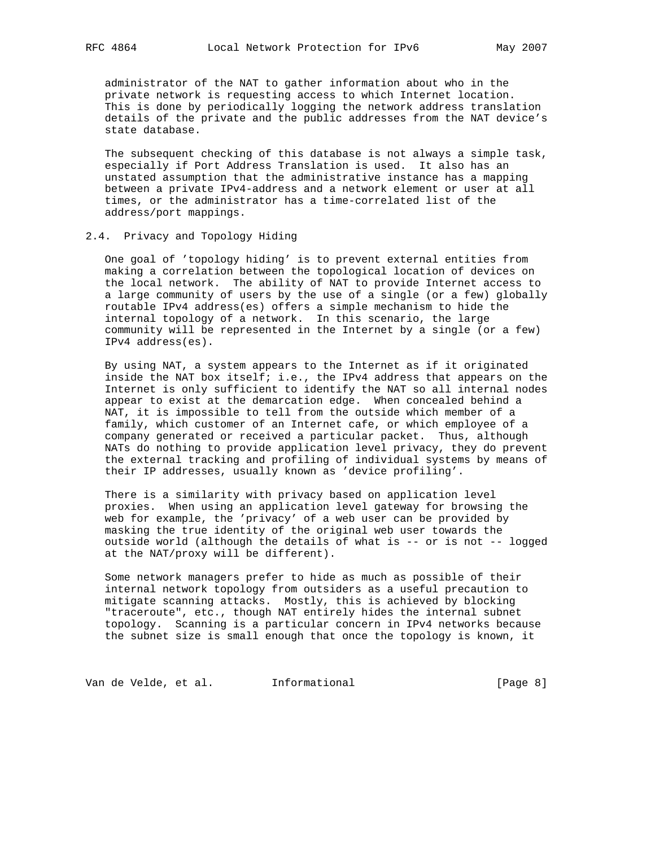administrator of the NAT to gather information about who in the private network is requesting access to which Internet location. This is done by periodically logging the network address translation details of the private and the public addresses from the NAT device's state database.

 The subsequent checking of this database is not always a simple task, especially if Port Address Translation is used. It also has an unstated assumption that the administrative instance has a mapping between a private IPv4-address and a network element or user at all times, or the administrator has a time-correlated list of the address/port mappings.

# 2.4. Privacy and Topology Hiding

 One goal of 'topology hiding' is to prevent external entities from making a correlation between the topological location of devices on the local network. The ability of NAT to provide Internet access to a large community of users by the use of a single (or a few) globally routable IPv4 address(es) offers a simple mechanism to hide the internal topology of a network. In this scenario, the large community will be represented in the Internet by a single (or a few) IPv4 address(es).

 By using NAT, a system appears to the Internet as if it originated inside the NAT box itself; i.e., the IPv4 address that appears on the Internet is only sufficient to identify the NAT so all internal nodes appear to exist at the demarcation edge. When concealed behind a NAT, it is impossible to tell from the outside which member of a family, which customer of an Internet cafe, or which employee of a company generated or received a particular packet. Thus, although NATs do nothing to provide application level privacy, they do prevent the external tracking and profiling of individual systems by means of their IP addresses, usually known as 'device profiling'.

 There is a similarity with privacy based on application level proxies. When using an application level gateway for browsing the web for example, the 'privacy' of a web user can be provided by masking the true identity of the original web user towards the outside world (although the details of what is -- or is not -- logged at the NAT/proxy will be different).

 Some network managers prefer to hide as much as possible of their internal network topology from outsiders as a useful precaution to mitigate scanning attacks. Mostly, this is achieved by blocking "traceroute", etc., though NAT entirely hides the internal subnet topology. Scanning is a particular concern in IPv4 networks because the subnet size is small enough that once the topology is known, it

Van de Velde, et al. 1nformational (Page 8)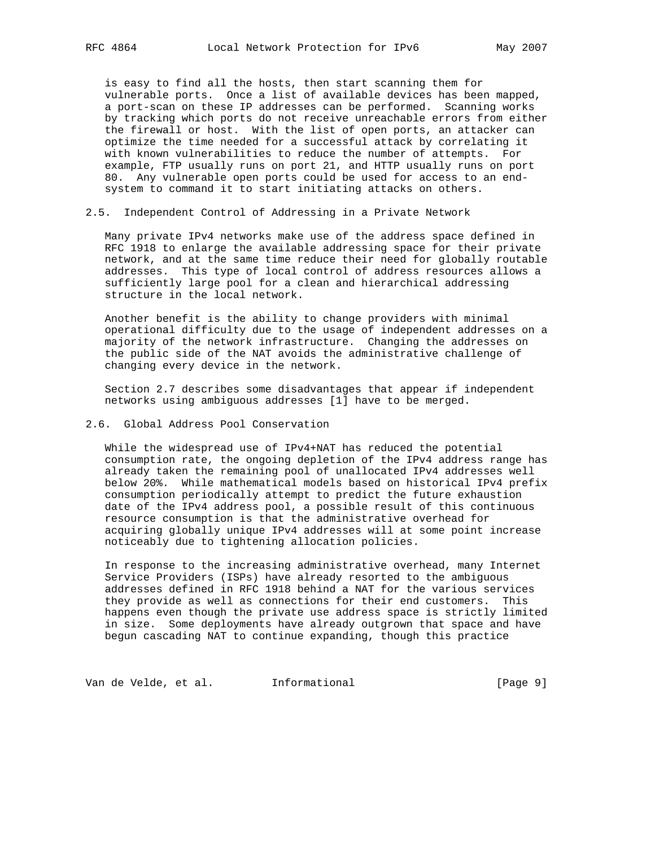is easy to find all the hosts, then start scanning them for vulnerable ports. Once a list of available devices has been mapped, a port-scan on these IP addresses can be performed. Scanning works by tracking which ports do not receive unreachable errors from either the firewall or host. With the list of open ports, an attacker can optimize the time needed for a successful attack by correlating it with known vulnerabilities to reduce the number of attempts. For example, FTP usually runs on port 21, and HTTP usually runs on port 80. Any vulnerable open ports could be used for access to an end system to command it to start initiating attacks on others.

2.5. Independent Control of Addressing in a Private Network

 Many private IPv4 networks make use of the address space defined in RFC 1918 to enlarge the available addressing space for their private network, and at the same time reduce their need for globally routable addresses. This type of local control of address resources allows a sufficiently large pool for a clean and hierarchical addressing structure in the local network.

 Another benefit is the ability to change providers with minimal operational difficulty due to the usage of independent addresses on a majority of the network infrastructure. Changing the addresses on the public side of the NAT avoids the administrative challenge of changing every device in the network.

 Section 2.7 describes some disadvantages that appear if independent networks using ambiguous addresses [1] have to be merged.

2.6. Global Address Pool Conservation

 While the widespread use of IPv4+NAT has reduced the potential consumption rate, the ongoing depletion of the IPv4 address range has already taken the remaining pool of unallocated IPv4 addresses well below 20%. While mathematical models based on historical IPv4 prefix consumption periodically attempt to predict the future exhaustion date of the IPv4 address pool, a possible result of this continuous resource consumption is that the administrative overhead for acquiring globally unique IPv4 addresses will at some point increase noticeably due to tightening allocation policies.

 In response to the increasing administrative overhead, many Internet Service Providers (ISPs) have already resorted to the ambiguous addresses defined in RFC 1918 behind a NAT for the various services they provide as well as connections for their end customers. This happens even though the private use address space is strictly limited in size. Some deployments have already outgrown that space and have begun cascading NAT to continue expanding, though this practice

Van de Velde, et al. 1nformational (Page 9)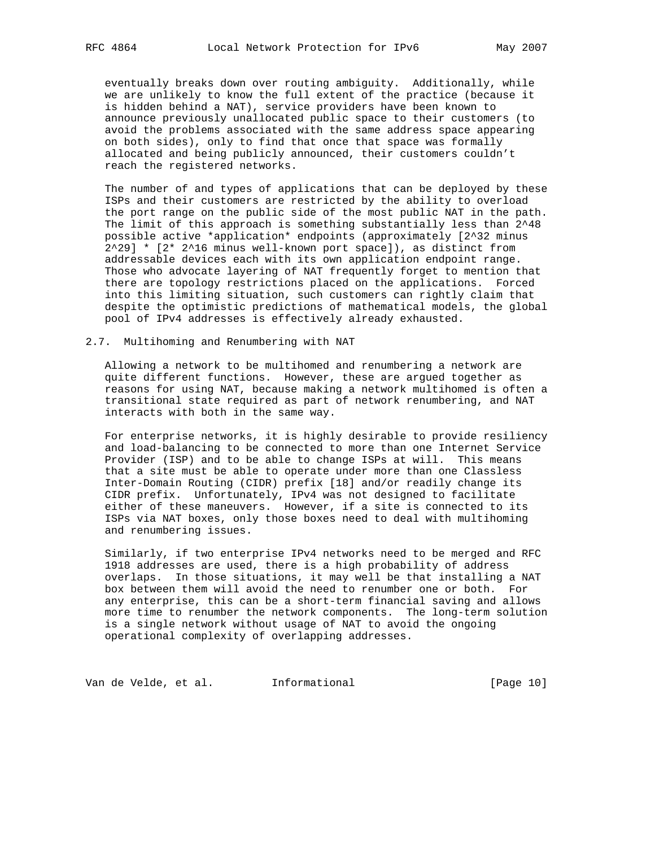eventually breaks down over routing ambiguity. Additionally, while we are unlikely to know the full extent of the practice (because it is hidden behind a NAT), service providers have been known to announce previously unallocated public space to their customers (to avoid the problems associated with the same address space appearing on both sides), only to find that once that space was formally allocated and being publicly announced, their customers couldn't reach the registered networks.

 The number of and types of applications that can be deployed by these ISPs and their customers are restricted by the ability to overload the port range on the public side of the most public NAT in the path. The limit of this approach is something substantially less than 2^48 possible active \*application\* endpoints (approximately [2^32 minus  $2^2$ 29] \* [2\* 2^16 minus well-known port space]), as distinct from addressable devices each with its own application endpoint range. Those who advocate layering of NAT frequently forget to mention that there are topology restrictions placed on the applications. Forced into this limiting situation, such customers can rightly claim that despite the optimistic predictions of mathematical models, the global pool of IPv4 addresses is effectively already exhausted.

2.7. Multihoming and Renumbering with NAT

 Allowing a network to be multihomed and renumbering a network are quite different functions. However, these are argued together as reasons for using NAT, because making a network multihomed is often a transitional state required as part of network renumbering, and NAT interacts with both in the same way.

 For enterprise networks, it is highly desirable to provide resiliency and load-balancing to be connected to more than one Internet Service Provider (ISP) and to be able to change ISPs at will. This means that a site must be able to operate under more than one Classless Inter-Domain Routing (CIDR) prefix [18] and/or readily change its CIDR prefix. Unfortunately, IPv4 was not designed to facilitate either of these maneuvers. However, if a site is connected to its ISPs via NAT boxes, only those boxes need to deal with multihoming and renumbering issues.

 Similarly, if two enterprise IPv4 networks need to be merged and RFC 1918 addresses are used, there is a high probability of address overlaps. In those situations, it may well be that installing a NAT box between them will avoid the need to renumber one or both. For any enterprise, this can be a short-term financial saving and allows more time to renumber the network components. The long-term solution is a single network without usage of NAT to avoid the ongoing operational complexity of overlapping addresses.

Van de Velde, et al. 1nformational (Page 10)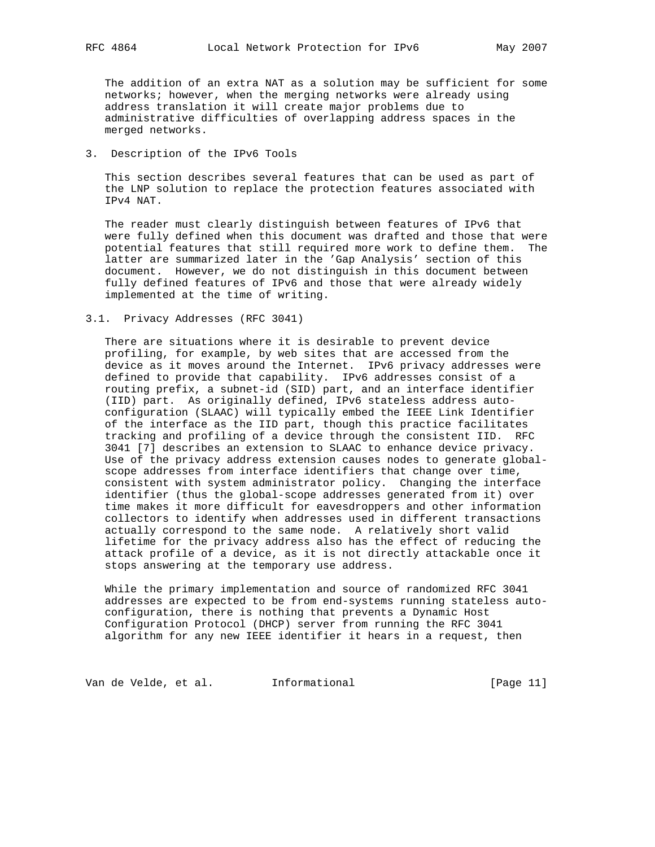The addition of an extra NAT as a solution may be sufficient for some networks; however, when the merging networks were already using address translation it will create major problems due to administrative difficulties of overlapping address spaces in the merged networks.

# 3. Description of the IPv6 Tools

 This section describes several features that can be used as part of the LNP solution to replace the protection features associated with IPv4 NAT.

 The reader must clearly distinguish between features of IPv6 that were fully defined when this document was drafted and those that were potential features that still required more work to define them. The latter are summarized later in the 'Gap Analysis' section of this document. However, we do not distinguish in this document between fully defined features of IPv6 and those that were already widely implemented at the time of writing.

# 3.1. Privacy Addresses (RFC 3041)

 There are situations where it is desirable to prevent device profiling, for example, by web sites that are accessed from the device as it moves around the Internet. IPv6 privacy addresses were defined to provide that capability. IPv6 addresses consist of a routing prefix, a subnet-id (SID) part, and an interface identifier (IID) part. As originally defined, IPv6 stateless address auto configuration (SLAAC) will typically embed the IEEE Link Identifier of the interface as the IID part, though this practice facilitates tracking and profiling of a device through the consistent IID. RFC 3041 [7] describes an extension to SLAAC to enhance device privacy. Use of the privacy address extension causes nodes to generate global scope addresses from interface identifiers that change over time, consistent with system administrator policy. Changing the interface identifier (thus the global-scope addresses generated from it) over time makes it more difficult for eavesdroppers and other information collectors to identify when addresses used in different transactions actually correspond to the same node. A relatively short valid lifetime for the privacy address also has the effect of reducing the attack profile of a device, as it is not directly attackable once it stops answering at the temporary use address.

 While the primary implementation and source of randomized RFC 3041 addresses are expected to be from end-systems running stateless auto configuration, there is nothing that prevents a Dynamic Host Configuration Protocol (DHCP) server from running the RFC 3041 algorithm for any new IEEE identifier it hears in a request, then

Van de Velde, et al. 1nformational (Page 11)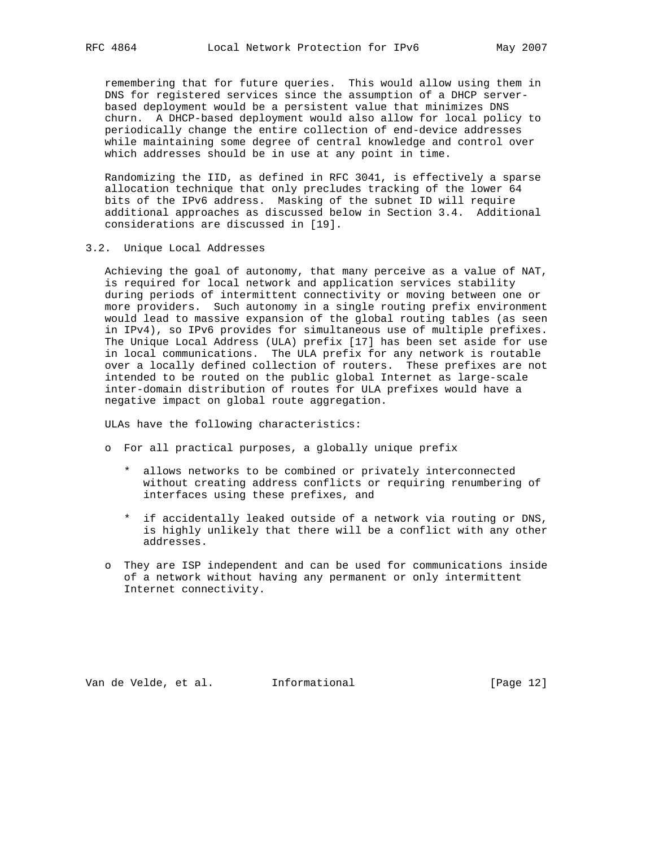remembering that for future queries. This would allow using them in DNS for registered services since the assumption of a DHCP server based deployment would be a persistent value that minimizes DNS churn. A DHCP-based deployment would also allow for local policy to periodically change the entire collection of end-device addresses while maintaining some degree of central knowledge and control over which addresses should be in use at any point in time.

 Randomizing the IID, as defined in RFC 3041, is effectively a sparse allocation technique that only precludes tracking of the lower 64 bits of the IPv6 address. Masking of the subnet ID will require additional approaches as discussed below in Section 3.4. Additional considerations are discussed in [19].

3.2. Unique Local Addresses

 Achieving the goal of autonomy, that many perceive as a value of NAT, is required for local network and application services stability during periods of intermittent connectivity or moving between one or more providers. Such autonomy in a single routing prefix environment would lead to massive expansion of the global routing tables (as seen in IPv4), so IPv6 provides for simultaneous use of multiple prefixes. The Unique Local Address (ULA) prefix [17] has been set aside for use in local communications. The ULA prefix for any network is routable over a locally defined collection of routers. These prefixes are not intended to be routed on the public global Internet as large-scale inter-domain distribution of routes for ULA prefixes would have a negative impact on global route aggregation.

ULAs have the following characteristics:

- o For all practical purposes, a globally unique prefix
	- \* allows networks to be combined or privately interconnected without creating address conflicts or requiring renumbering of interfaces using these prefixes, and
	- \* if accidentally leaked outside of a network via routing or DNS, is highly unlikely that there will be a conflict with any other addresses.
- o They are ISP independent and can be used for communications inside of a network without having any permanent or only intermittent Internet connectivity.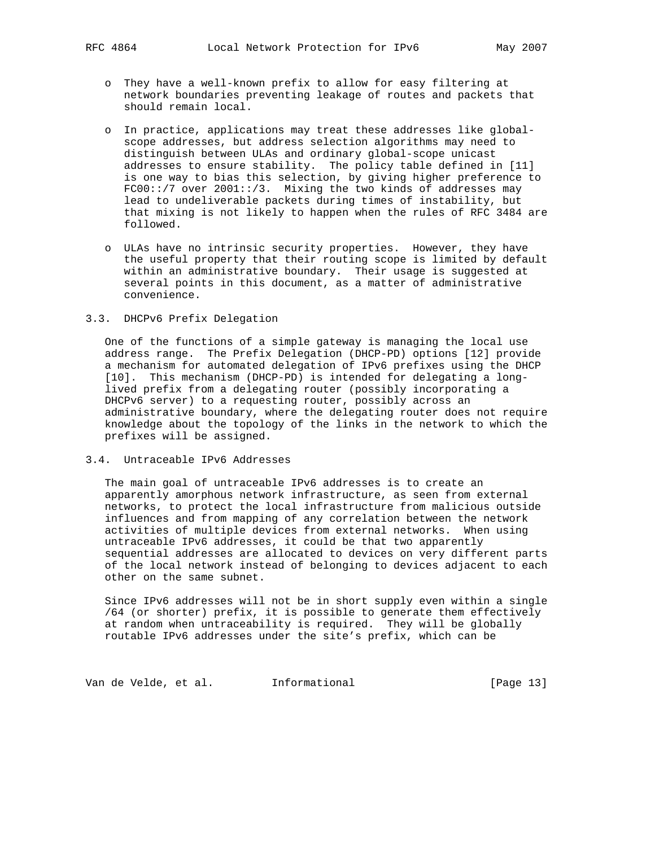- o They have a well-known prefix to allow for easy filtering at network boundaries preventing leakage of routes and packets that should remain local.
- o In practice, applications may treat these addresses like global scope addresses, but address selection algorithms may need to distinguish between ULAs and ordinary global-scope unicast addresses to ensure stability. The policy table defined in [11] is one way to bias this selection, by giving higher preference to FC00::/7 over 2001::/3. Mixing the two kinds of addresses may lead to undeliverable packets during times of instability, but that mixing is not likely to happen when the rules of RFC 3484 are followed.
- o ULAs have no intrinsic security properties. However, they have the useful property that their routing scope is limited by default within an administrative boundary. Their usage is suggested at several points in this document, as a matter of administrative convenience.

## 3.3. DHCPv6 Prefix Delegation

 One of the functions of a simple gateway is managing the local use address range. The Prefix Delegation (DHCP-PD) options [12] provide a mechanism for automated delegation of IPv6 prefixes using the DHCP [10]. This mechanism (DHCP-PD) is intended for delegating a long lived prefix from a delegating router (possibly incorporating a DHCPv6 server) to a requesting router, possibly across an administrative boundary, where the delegating router does not require knowledge about the topology of the links in the network to which the prefixes will be assigned.

# 3.4. Untraceable IPv6 Addresses

 The main goal of untraceable IPv6 addresses is to create an apparently amorphous network infrastructure, as seen from external networks, to protect the local infrastructure from malicious outside influences and from mapping of any correlation between the network activities of multiple devices from external networks. When using untraceable IPv6 addresses, it could be that two apparently sequential addresses are allocated to devices on very different parts of the local network instead of belonging to devices adjacent to each other on the same subnet.

 Since IPv6 addresses will not be in short supply even within a single /64 (or shorter) prefix, it is possible to generate them effectively at random when untraceability is required. They will be globally routable IPv6 addresses under the site's prefix, which can be

Van de Velde, et al. 1nformational (Page 13)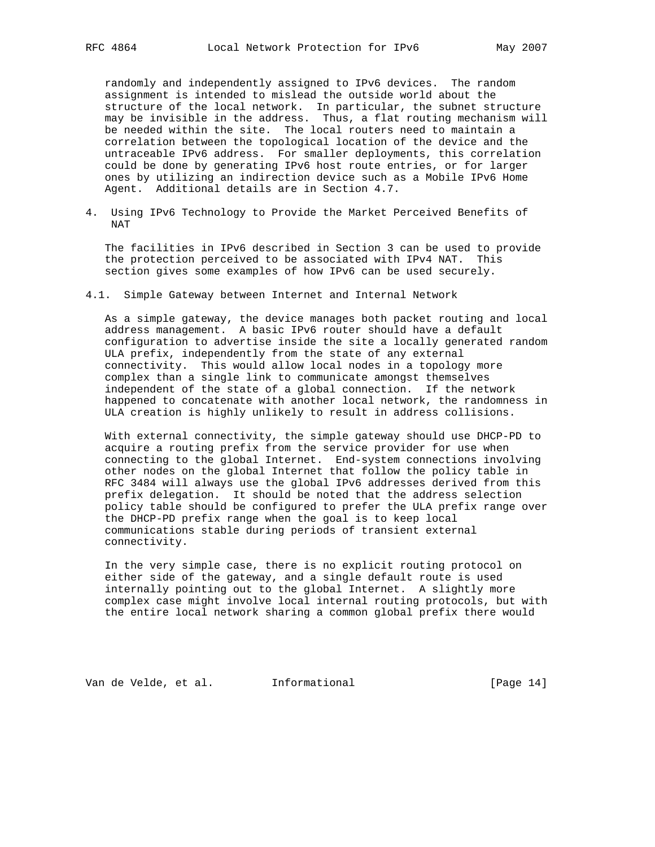randomly and independently assigned to IPv6 devices. The random assignment is intended to mislead the outside world about the structure of the local network. In particular, the subnet structure may be invisible in the address. Thus, a flat routing mechanism will be needed within the site. The local routers need to maintain a correlation between the topological location of the device and the untraceable IPv6 address. For smaller deployments, this correlation could be done by generating IPv6 host route entries, or for larger ones by utilizing an indirection device such as a Mobile IPv6 Home Agent. Additional details are in Section 4.7.

4. Using IPv6 Technology to Provide the Market Perceived Benefits of NAT

 The facilities in IPv6 described in Section 3 can be used to provide the protection perceived to be associated with IPv4 NAT. This section gives some examples of how IPv6 can be used securely.

4.1. Simple Gateway between Internet and Internal Network

 As a simple gateway, the device manages both packet routing and local address management. A basic IPv6 router should have a default configuration to advertise inside the site a locally generated random ULA prefix, independently from the state of any external connectivity. This would allow local nodes in a topology more complex than a single link to communicate amongst themselves independent of the state of a global connection. If the network happened to concatenate with another local network, the randomness in ULA creation is highly unlikely to result in address collisions.

 With external connectivity, the simple gateway should use DHCP-PD to acquire a routing prefix from the service provider for use when connecting to the global Internet. End-system connections involving other nodes on the global Internet that follow the policy table in RFC 3484 will always use the global IPv6 addresses derived from this prefix delegation. It should be noted that the address selection policy table should be configured to prefer the ULA prefix range over the DHCP-PD prefix range when the goal is to keep local communications stable during periods of transient external connectivity.

 In the very simple case, there is no explicit routing protocol on either side of the gateway, and a single default route is used internally pointing out to the global Internet. A slightly more complex case might involve local internal routing protocols, but with the entire local network sharing a common global prefix there would

Van de Velde, et al. Informational [Page 14]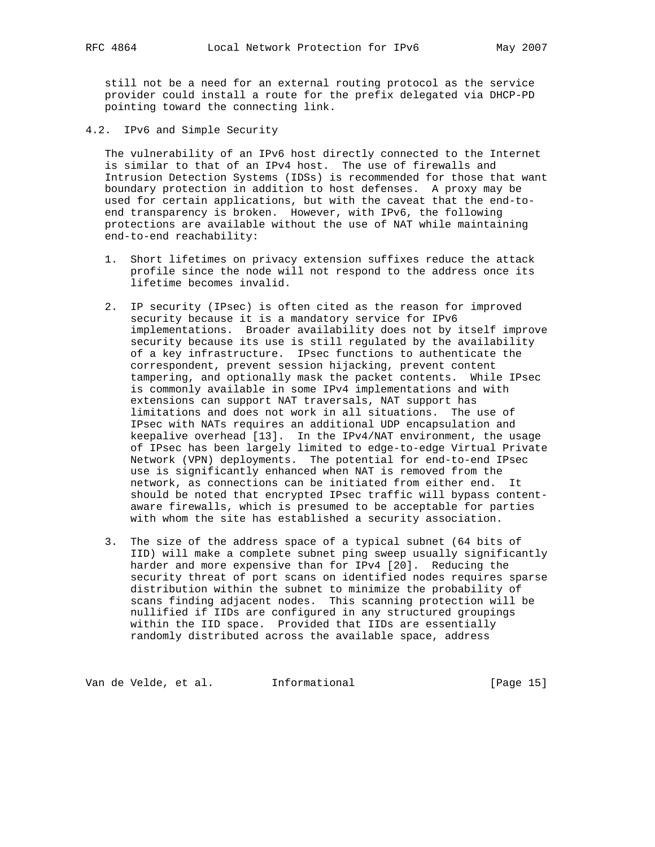still not be a need for an external routing protocol as the service provider could install a route for the prefix delegated via DHCP-PD pointing toward the connecting link.

4.2. IPv6 and Simple Security

 The vulnerability of an IPv6 host directly connected to the Internet is similar to that of an IPv4 host. The use of firewalls and Intrusion Detection Systems (IDSs) is recommended for those that want boundary protection in addition to host defenses. A proxy may be used for certain applications, but with the caveat that the end-to end transparency is broken. However, with IPv6, the following protections are available without the use of NAT while maintaining end-to-end reachability:

- 1. Short lifetimes on privacy extension suffixes reduce the attack profile since the node will not respond to the address once its lifetime becomes invalid.
- 2. IP security (IPsec) is often cited as the reason for improved security because it is a mandatory service for IPv6 implementations. Broader availability does not by itself improve security because its use is still regulated by the availability of a key infrastructure. IPsec functions to authenticate the correspondent, prevent session hijacking, prevent content tampering, and optionally mask the packet contents. While IPsec is commonly available in some IPv4 implementations and with extensions can support NAT traversals, NAT support has limitations and does not work in all situations. The use of IPsec with NATs requires an additional UDP encapsulation and keepalive overhead [13]. In the IPv4/NAT environment, the usage of IPsec has been largely limited to edge-to-edge Virtual Private Network (VPN) deployments. The potential for end-to-end IPsec use is significantly enhanced when NAT is removed from the network, as connections can be initiated from either end. It should be noted that encrypted IPsec traffic will bypass content aware firewalls, which is presumed to be acceptable for parties with whom the site has established a security association.
- 3. The size of the address space of a typical subnet (64 bits of IID) will make a complete subnet ping sweep usually significantly harder and more expensive than for IPv4 [20]. Reducing the security threat of port scans on identified nodes requires sparse distribution within the subnet to minimize the probability of scans finding adjacent nodes. This scanning protection will be nullified if IIDs are configured in any structured groupings within the IID space. Provided that IIDs are essentially randomly distributed across the available space, address

Van de Velde, et al. 1nformational (Page 15)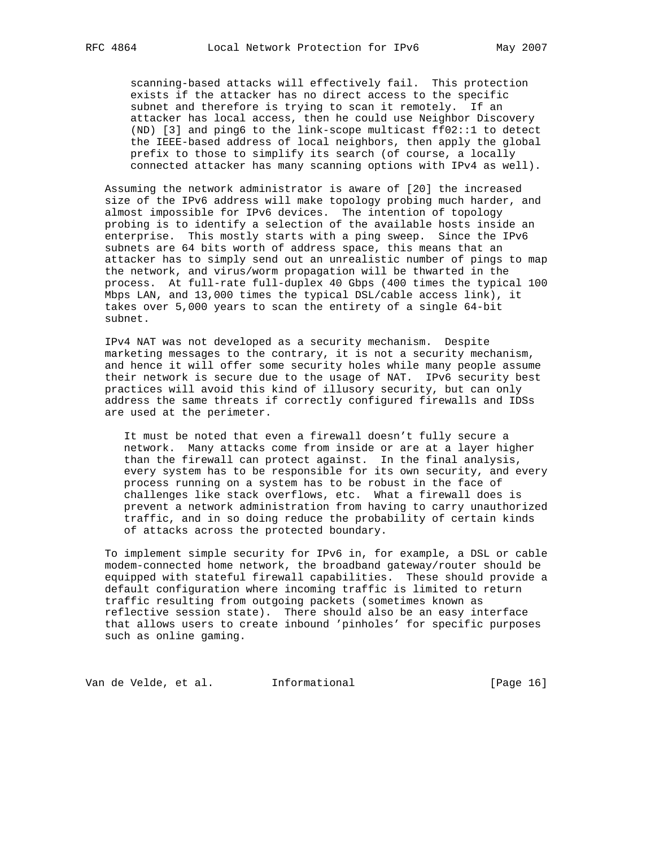scanning-based attacks will effectively fail. This protection exists if the attacker has no direct access to the specific subnet and therefore is trying to scan it remotely. If an attacker has local access, then he could use Neighbor Discovery (ND) [3] and ping6 to the link-scope multicast ff02::1 to detect the IEEE-based address of local neighbors, then apply the global prefix to those to simplify its search (of course, a locally connected attacker has many scanning options with IPv4 as well).

 Assuming the network administrator is aware of [20] the increased size of the IPv6 address will make topology probing much harder, and almost impossible for IPv6 devices. The intention of topology probing is to identify a selection of the available hosts inside an enterprise. This mostly starts with a ping sweep. Since the IPv6 subnets are 64 bits worth of address space, this means that an attacker has to simply send out an unrealistic number of pings to map the network, and virus/worm propagation will be thwarted in the process. At full-rate full-duplex 40 Gbps (400 times the typical 100 Mbps LAN, and 13,000 times the typical DSL/cable access link), it takes over 5,000 years to scan the entirety of a single 64-bit subnet.

 IPv4 NAT was not developed as a security mechanism. Despite marketing messages to the contrary, it is not a security mechanism, and hence it will offer some security holes while many people assume their network is secure due to the usage of NAT. IPv6 security best practices will avoid this kind of illusory security, but can only address the same threats if correctly configured firewalls and IDSs are used at the perimeter.

 It must be noted that even a firewall doesn't fully secure a network. Many attacks come from inside or are at a layer higher than the firewall can protect against. In the final analysis, every system has to be responsible for its own security, and every process running on a system has to be robust in the face of challenges like stack overflows, etc. What a firewall does is prevent a network administration from having to carry unauthorized traffic, and in so doing reduce the probability of certain kinds of attacks across the protected boundary.

 To implement simple security for IPv6 in, for example, a DSL or cable modem-connected home network, the broadband gateway/router should be equipped with stateful firewall capabilities. These should provide a default configuration where incoming traffic is limited to return traffic resulting from outgoing packets (sometimes known as reflective session state). There should also be an easy interface that allows users to create inbound 'pinholes' for specific purposes such as online gaming.

Van de Velde, et al. 1nformational (Page 16)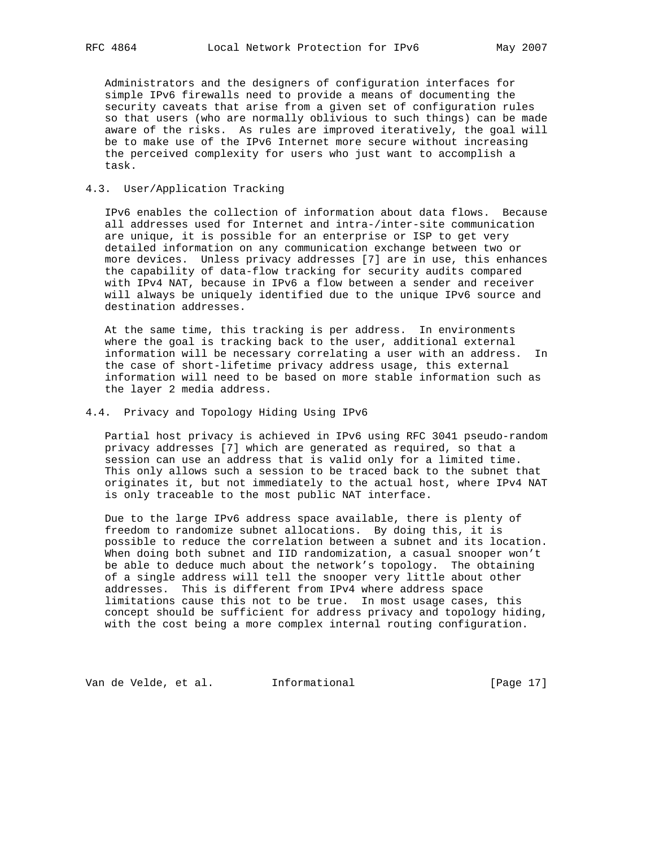Administrators and the designers of configuration interfaces for simple IPv6 firewalls need to provide a means of documenting the security caveats that arise from a given set of configuration rules so that users (who are normally oblivious to such things) can be made aware of the risks. As rules are improved iteratively, the goal will be to make use of the IPv6 Internet more secure without increasing the perceived complexity for users who just want to accomplish a task.

# 4.3. User/Application Tracking

 IPv6 enables the collection of information about data flows. Because all addresses used for Internet and intra-/inter-site communication are unique, it is possible for an enterprise or ISP to get very detailed information on any communication exchange between two or more devices. Unless privacy addresses [7] are in use, this enhances the capability of data-flow tracking for security audits compared with IPv4 NAT, because in IPv6 a flow between a sender and receiver will always be uniquely identified due to the unique IPv6 source and destination addresses.

 At the same time, this tracking is per address. In environments where the goal is tracking back to the user, additional external information will be necessary correlating a user with an address. In the case of short-lifetime privacy address usage, this external information will need to be based on more stable information such as the layer 2 media address.

# 4.4. Privacy and Topology Hiding Using IPv6

 Partial host privacy is achieved in IPv6 using RFC 3041 pseudo-random privacy addresses [7] which are generated as required, so that a session can use an address that is valid only for a limited time. This only allows such a session to be traced back to the subnet that originates it, but not immediately to the actual host, where IPv4 NAT is only traceable to the most public NAT interface.

 Due to the large IPv6 address space available, there is plenty of freedom to randomize subnet allocations. By doing this, it is possible to reduce the correlation between a subnet and its location. When doing both subnet and IID randomization, a casual snooper won't be able to deduce much about the network's topology. The obtaining of a single address will tell the snooper very little about other addresses. This is different from IPv4 where address space limitations cause this not to be true. In most usage cases, this concept should be sufficient for address privacy and topology hiding, with the cost being a more complex internal routing configuration.

Van de Velde, et al. 1nformational (Page 17)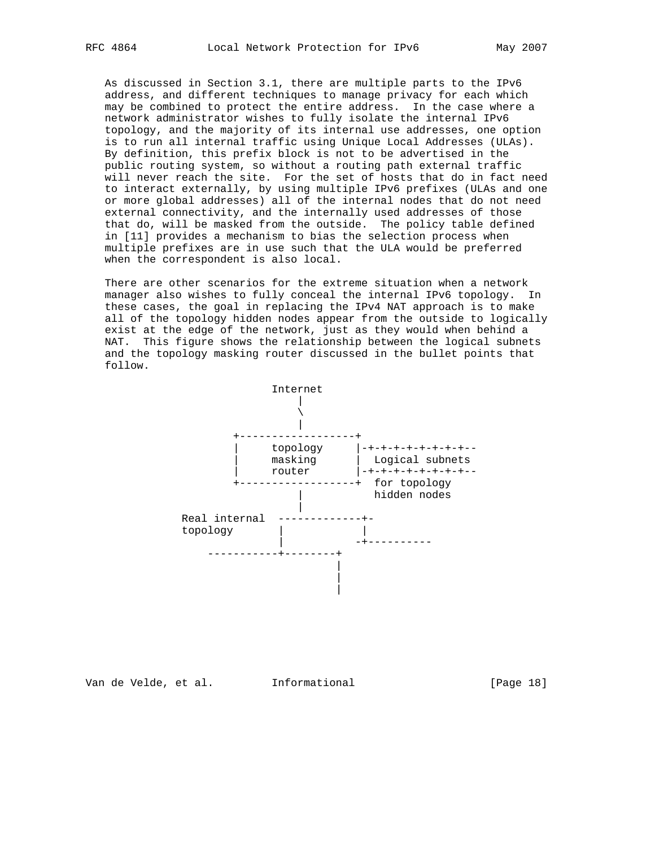As discussed in Section 3.1, there are multiple parts to the IPv6 address, and different techniques to manage privacy for each which may be combined to protect the entire address. In the case where a network administrator wishes to fully isolate the internal IPv6 topology, and the majority of its internal use addresses, one option is to run all internal traffic using Unique Local Addresses (ULAs). By definition, this prefix block is not to be advertised in the public routing system, so without a routing path external traffic will never reach the site. For the set of hosts that do in fact need to interact externally, by using multiple IPv6 prefixes (ULAs and one or more global addresses) all of the internal nodes that do not need external connectivity, and the internally used addresses of those that do, will be masked from the outside. The policy table defined in [11] provides a mechanism to bias the selection process when multiple prefixes are in use such that the ULA would be preferred when the correspondent is also local.

 There are other scenarios for the extreme situation when a network manager also wishes to fully conceal the internal IPv6 topology. In these cases, the goal in replacing the IPv4 NAT approach is to make all of the topology hidden nodes appear from the outside to logically exist at the edge of the network, just as they would when behind a NAT. This figure shows the relationship between the logical subnets and the topology masking router discussed in the bullet points that follow.

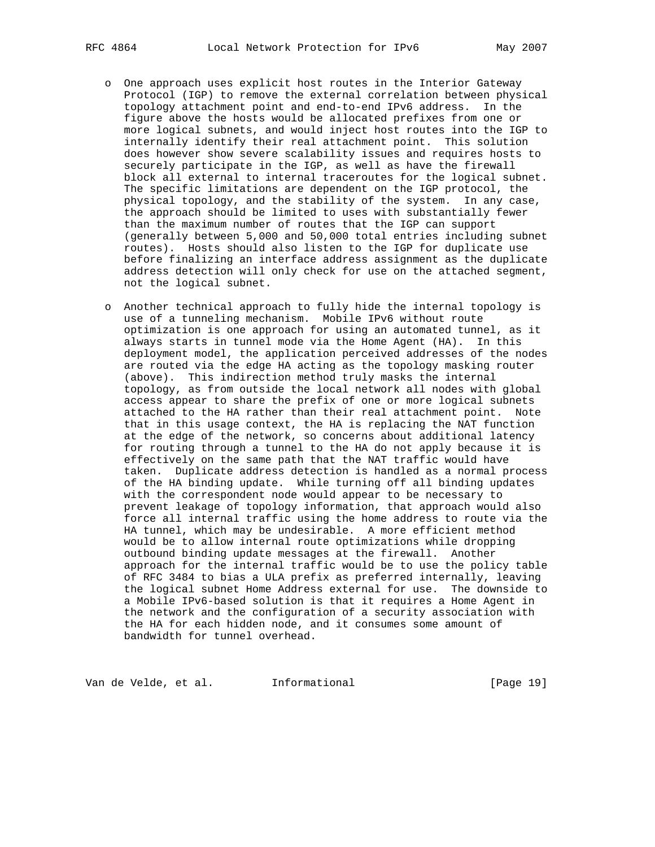- o One approach uses explicit host routes in the Interior Gateway Protocol (IGP) to remove the external correlation between physical topology attachment point and end-to-end IPv6 address. In the figure above the hosts would be allocated prefixes from one or more logical subnets, and would inject host routes into the IGP to internally identify their real attachment point. This solution does however show severe scalability issues and requires hosts to securely participate in the IGP, as well as have the firewall block all external to internal traceroutes for the logical subnet. The specific limitations are dependent on the IGP protocol, the physical topology, and the stability of the system. In any case, the approach should be limited to uses with substantially fewer than the maximum number of routes that the IGP can support (generally between 5,000 and 50,000 total entries including subnet routes). Hosts should also listen to the IGP for duplicate use before finalizing an interface address assignment as the duplicate address detection will only check for use on the attached segment, not the logical subnet.
- o Another technical approach to fully hide the internal topology is use of a tunneling mechanism. Mobile IPv6 without route optimization is one approach for using an automated tunnel, as it always starts in tunnel mode via the Home Agent (HA). In this deployment model, the application perceived addresses of the nodes are routed via the edge HA acting as the topology masking router (above). This indirection method truly masks the internal topology, as from outside the local network all nodes with global access appear to share the prefix of one or more logical subnets attached to the HA rather than their real attachment point. Note that in this usage context, the HA is replacing the NAT function at the edge of the network, so concerns about additional latency for routing through a tunnel to the HA do not apply because it is effectively on the same path that the NAT traffic would have taken. Duplicate address detection is handled as a normal process of the HA binding update. While turning off all binding updates with the correspondent node would appear to be necessary to prevent leakage of topology information, that approach would also force all internal traffic using the home address to route via the HA tunnel, which may be undesirable. A more efficient method would be to allow internal route optimizations while dropping outbound binding update messages at the firewall. Another approach for the internal traffic would be to use the policy table of RFC 3484 to bias a ULA prefix as preferred internally, leaving the logical subnet Home Address external for use. The downside to a Mobile IPv6-based solution is that it requires a Home Agent in the network and the configuration of a security association with the HA for each hidden node, and it consumes some amount of bandwidth for tunnel overhead.

Van de Velde, et al. 1nformational (Page 19)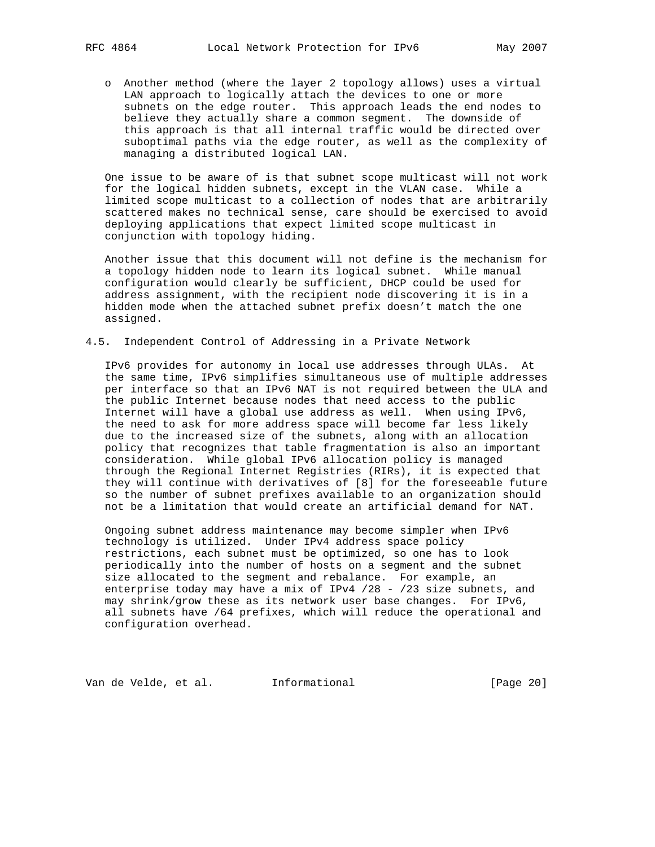o Another method (where the layer 2 topology allows) uses a virtual LAN approach to logically attach the devices to one or more subnets on the edge router. This approach leads the end nodes to believe they actually share a common segment. The downside of this approach is that all internal traffic would be directed over suboptimal paths via the edge router, as well as the complexity of managing a distributed logical LAN.

 One issue to be aware of is that subnet scope multicast will not work for the logical hidden subnets, except in the VLAN case. While a limited scope multicast to a collection of nodes that are arbitrarily scattered makes no technical sense, care should be exercised to avoid deploying applications that expect limited scope multicast in conjunction with topology hiding.

 Another issue that this document will not define is the mechanism for a topology hidden node to learn its logical subnet. While manual configuration would clearly be sufficient, DHCP could be used for address assignment, with the recipient node discovering it is in a hidden mode when the attached subnet prefix doesn't match the one assigned.

4.5. Independent Control of Addressing in a Private Network

 IPv6 provides for autonomy in local use addresses through ULAs. At the same time, IPv6 simplifies simultaneous use of multiple addresses per interface so that an IPv6 NAT is not required between the ULA and the public Internet because nodes that need access to the public Internet will have a global use address as well. When using IPv6, the need to ask for more address space will become far less likely due to the increased size of the subnets, along with an allocation policy that recognizes that table fragmentation is also an important consideration. While global IPv6 allocation policy is managed through the Regional Internet Registries (RIRs), it is expected that they will continue with derivatives of [8] for the foreseeable future so the number of subnet prefixes available to an organization should not be a limitation that would create an artificial demand for NAT.

 Ongoing subnet address maintenance may become simpler when IPv6 technology is utilized. Under IPv4 address space policy restrictions, each subnet must be optimized, so one has to look periodically into the number of hosts on a segment and the subnet size allocated to the segment and rebalance. For example, an enterprise today may have a mix of IPv4 /28 - /23 size subnets, and may shrink/grow these as its network user base changes. For IPv6, all subnets have /64 prefixes, which will reduce the operational and configuration overhead.

Van de Velde, et al. Informational [Page 20]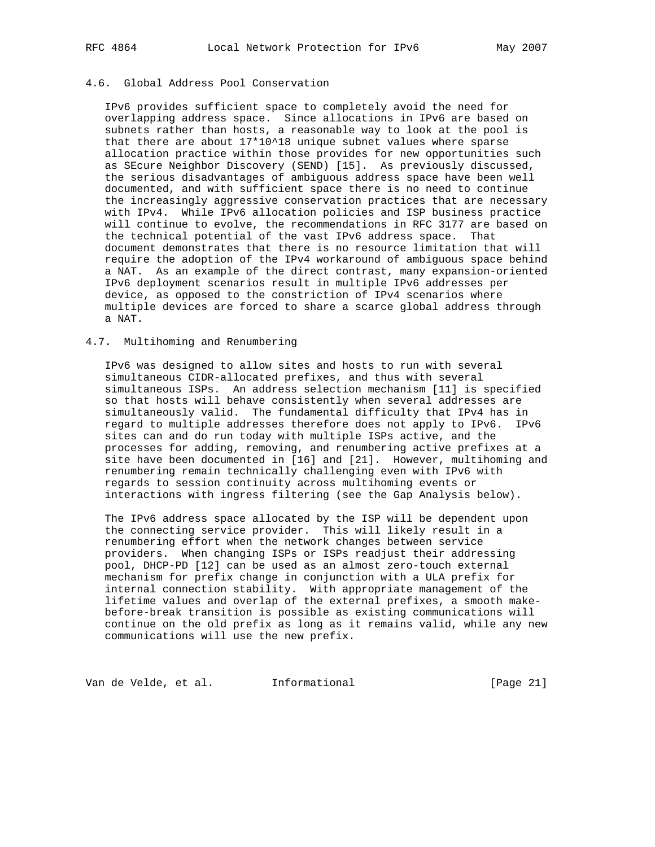# 4.6. Global Address Pool Conservation

 IPv6 provides sufficient space to completely avoid the need for overlapping address space. Since allocations in IPv6 are based on subnets rather than hosts, a reasonable way to look at the pool is that there are about 17\*10^18 unique subnet values where sparse allocation practice within those provides for new opportunities such as SEcure Neighbor Discovery (SEND) [15]. As previously discussed, the serious disadvantages of ambiguous address space have been well documented, and with sufficient space there is no need to continue the increasingly aggressive conservation practices that are necessary with IPv4. While IPv6 allocation policies and ISP business practice will continue to evolve, the recommendations in RFC 3177 are based on the technical potential of the vast IPv6 address space. That document demonstrates that there is no resource limitation that will require the adoption of the IPv4 workaround of ambiguous space behind a NAT. As an example of the direct contrast, many expansion-oriented IPv6 deployment scenarios result in multiple IPv6 addresses per device, as opposed to the constriction of IPv4 scenarios where multiple devices are forced to share a scarce global address through a NAT.

## 4.7. Multihoming and Renumbering

 IPv6 was designed to allow sites and hosts to run with several simultaneous CIDR-allocated prefixes, and thus with several simultaneous ISPs. An address selection mechanism [11] is specified so that hosts will behave consistently when several addresses are simultaneously valid. The fundamental difficulty that IPv4 has in regard to multiple addresses therefore does not apply to IPv6. IPv6 sites can and do run today with multiple ISPs active, and the processes for adding, removing, and renumbering active prefixes at a site have been documented in [16] and [21]. However, multihoming and renumbering remain technically challenging even with IPv6 with regards to session continuity across multihoming events or interactions with ingress filtering (see the Gap Analysis below).

 The IPv6 address space allocated by the ISP will be dependent upon the connecting service provider. This will likely result in a renumbering effort when the network changes between service providers. When changing ISPs or ISPs readjust their addressing pool, DHCP-PD [12] can be used as an almost zero-touch external mechanism for prefix change in conjunction with a ULA prefix for internal connection stability. With appropriate management of the lifetime values and overlap of the external prefixes, a smooth make before-break transition is possible as existing communications will continue on the old prefix as long as it remains valid, while any new communications will use the new prefix.

Van de Velde, et al. 1nformational (Page 21)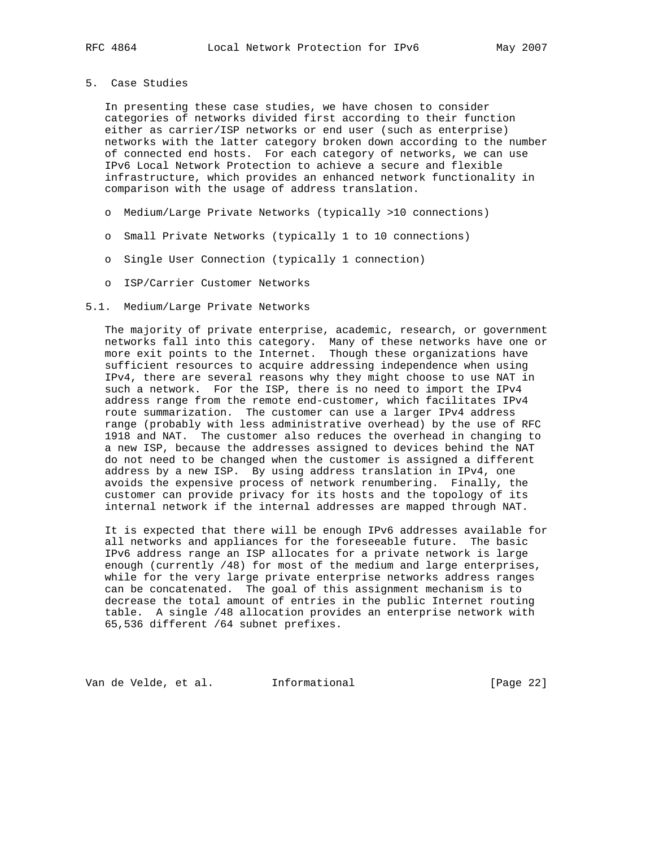# 5. Case Studies

 In presenting these case studies, we have chosen to consider categories of networks divided first according to their function either as carrier/ISP networks or end user (such as enterprise) networks with the latter category broken down according to the number of connected end hosts. For each category of networks, we can use IPv6 Local Network Protection to achieve a secure and flexible infrastructure, which provides an enhanced network functionality in comparison with the usage of address translation.

- o Medium/Large Private Networks (typically >10 connections)
- o Small Private Networks (typically 1 to 10 connections)
- o Single User Connection (typically 1 connection)
- o ISP/Carrier Customer Networks

#### 5.1. Medium/Large Private Networks

 The majority of private enterprise, academic, research, or government networks fall into this category. Many of these networks have one or more exit points to the Internet. Though these organizations have sufficient resources to acquire addressing independence when using IPv4, there are several reasons why they might choose to use NAT in such a network. For the ISP, there is no need to import the IPv4 address range from the remote end-customer, which facilitates IPv4 route summarization. The customer can use a larger IPv4 address range (probably with less administrative overhead) by the use of RFC 1918 and NAT. The customer also reduces the overhead in changing to a new ISP, because the addresses assigned to devices behind the NAT do not need to be changed when the customer is assigned a different address by a new ISP. By using address translation in IPv4, one avoids the expensive process of network renumbering. Finally, the customer can provide privacy for its hosts and the topology of its internal network if the internal addresses are mapped through NAT.

 It is expected that there will be enough IPv6 addresses available for all networks and appliances for the foreseeable future. The basic IPv6 address range an ISP allocates for a private network is large enough (currently /48) for most of the medium and large enterprises, while for the very large private enterprise networks address ranges can be concatenated. The goal of this assignment mechanism is to decrease the total amount of entries in the public Internet routing table. A single /48 allocation provides an enterprise network with 65,536 different /64 subnet prefixes.

Van de Velde, et al. Informational [Page 22]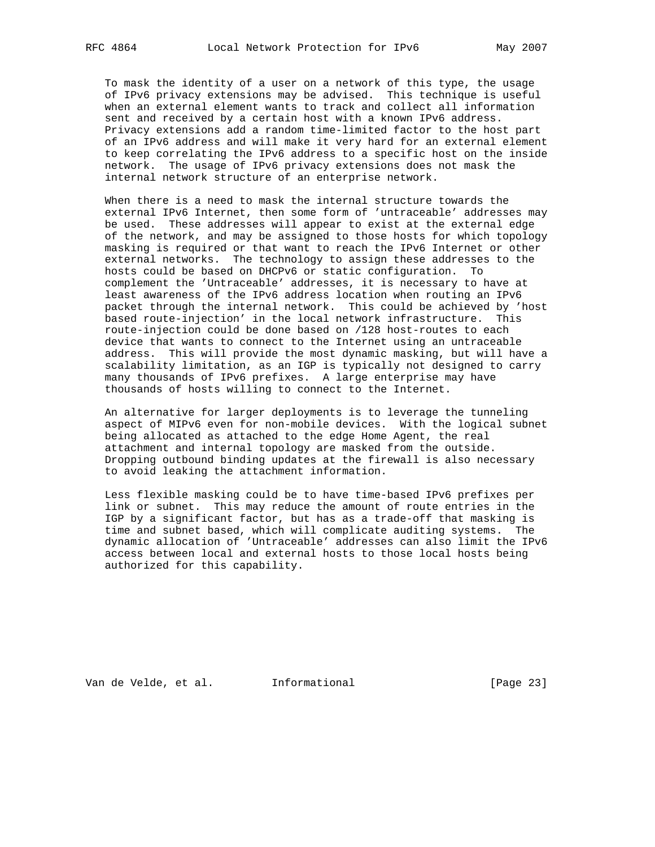To mask the identity of a user on a network of this type, the usage of IPv6 privacy extensions may be advised. This technique is useful when an external element wants to track and collect all information sent and received by a certain host with a known IPv6 address. Privacy extensions add a random time-limited factor to the host part of an IPv6 address and will make it very hard for an external element to keep correlating the IPv6 address to a specific host on the inside network. The usage of IPv6 privacy extensions does not mask the internal network structure of an enterprise network.

 When there is a need to mask the internal structure towards the external IPv6 Internet, then some form of 'untraceable' addresses may be used. These addresses will appear to exist at the external edge of the network, and may be assigned to those hosts for which topology masking is required or that want to reach the IPv6 Internet or other external networks. The technology to assign these addresses to the hosts could be based on DHCPv6 or static configuration. To complement the 'Untraceable' addresses, it is necessary to have at least awareness of the IPv6 address location when routing an IPv6 packet through the internal network. This could be achieved by 'host based route-injection' in the local network infrastructure. This route-injection could be done based on /128 host-routes to each device that wants to connect to the Internet using an untraceable address. This will provide the most dynamic masking, but will have a scalability limitation, as an IGP is typically not designed to carry many thousands of IPv6 prefixes. A large enterprise may have thousands of hosts willing to connect to the Internet.

 An alternative for larger deployments is to leverage the tunneling aspect of MIPv6 even for non-mobile devices. With the logical subnet being allocated as attached to the edge Home Agent, the real attachment and internal topology are masked from the outside. Dropping outbound binding updates at the firewall is also necessary to avoid leaking the attachment information.

 Less flexible masking could be to have time-based IPv6 prefixes per link or subnet. This may reduce the amount of route entries in the IGP by a significant factor, but has as a trade-off that masking is time and subnet based, which will complicate auditing systems. The dynamic allocation of 'Untraceable' addresses can also limit the IPv6 access between local and external hosts to those local hosts being authorized for this capability.

Van de Velde, et al. Informational [Page 23]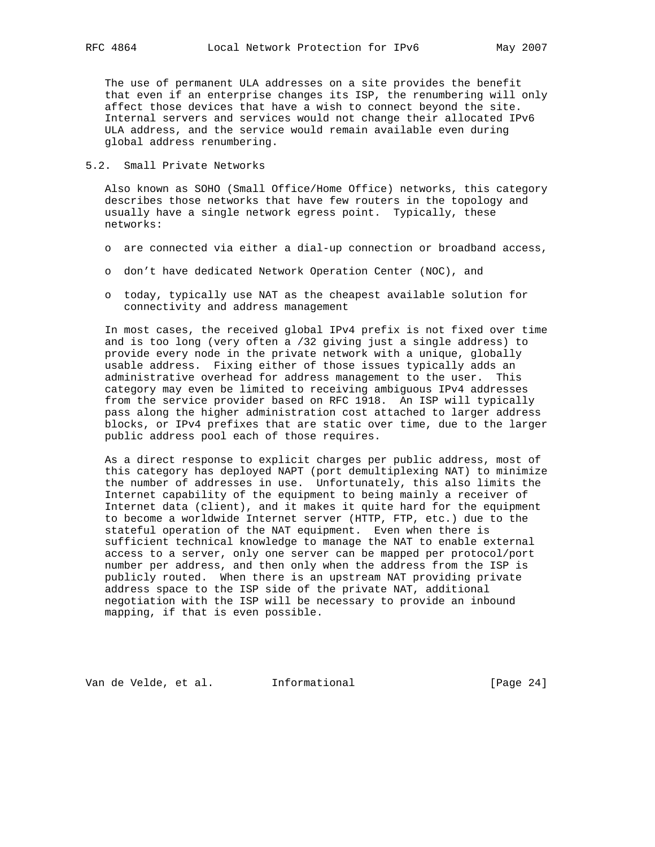The use of permanent ULA addresses on a site provides the benefit that even if an enterprise changes its ISP, the renumbering will only affect those devices that have a wish to connect beyond the site. Internal servers and services would not change their allocated IPv6 ULA address, and the service would remain available even during global address renumbering.

5.2. Small Private Networks

 Also known as SOHO (Small Office/Home Office) networks, this category describes those networks that have few routers in the topology and usually have a single network egress point. Typically, these networks:

- o are connected via either a dial-up connection or broadband access,
- o don't have dedicated Network Operation Center (NOC), and
- o today, typically use NAT as the cheapest available solution for connectivity and address management

 In most cases, the received global IPv4 prefix is not fixed over time and is too long (very often a /32 giving just a single address) to provide every node in the private network with a unique, globally usable address. Fixing either of those issues typically adds an administrative overhead for address management to the user. This category may even be limited to receiving ambiguous IPv4 addresses from the service provider based on RFC 1918. An ISP will typically pass along the higher administration cost attached to larger address blocks, or IPv4 prefixes that are static over time, due to the larger public address pool each of those requires.

 As a direct response to explicit charges per public address, most of this category has deployed NAPT (port demultiplexing NAT) to minimize the number of addresses in use. Unfortunately, this also limits the Internet capability of the equipment to being mainly a receiver of Internet data (client), and it makes it quite hard for the equipment to become a worldwide Internet server (HTTP, FTP, etc.) due to the stateful operation of the NAT equipment. Even when there is sufficient technical knowledge to manage the NAT to enable external access to a server, only one server can be mapped per protocol/port number per address, and then only when the address from the ISP is publicly routed. When there is an upstream NAT providing private address space to the ISP side of the private NAT, additional negotiation with the ISP will be necessary to provide an inbound mapping, if that is even possible.

Van de Velde, et al. Informational [Page 24]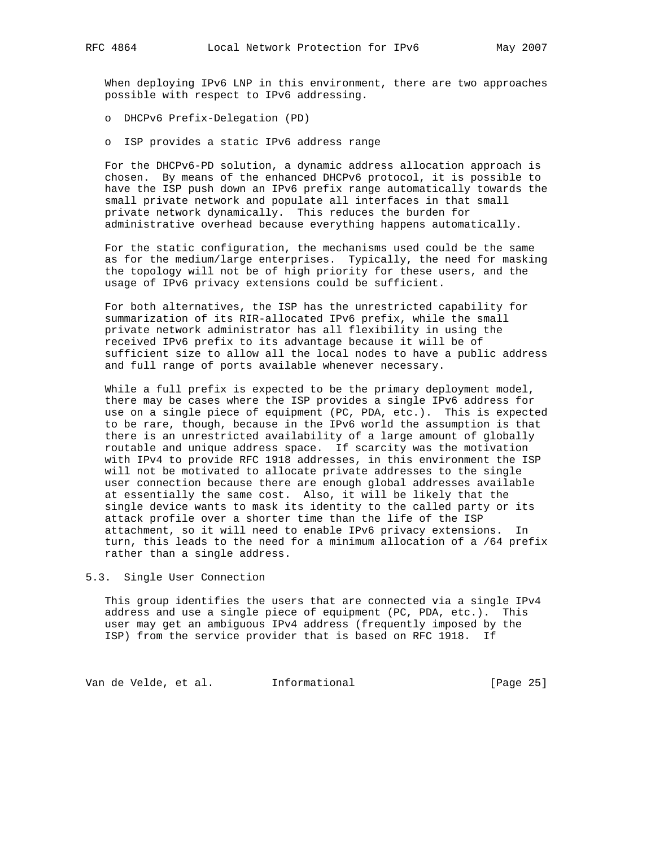When deploying IPv6 LNP in this environment, there are two approaches possible with respect to IPv6 addressing.

o DHCPv6 Prefix-Delegation (PD)

o ISP provides a static IPv6 address range

 For the DHCPv6-PD solution, a dynamic address allocation approach is chosen. By means of the enhanced DHCPv6 protocol, it is possible to have the ISP push down an IPv6 prefix range automatically towards the small private network and populate all interfaces in that small private network dynamically. This reduces the burden for administrative overhead because everything happens automatically.

 For the static configuration, the mechanisms used could be the same as for the medium/large enterprises. Typically, the need for masking the topology will not be of high priority for these users, and the usage of IPv6 privacy extensions could be sufficient.

 For both alternatives, the ISP has the unrestricted capability for summarization of its RIR-allocated IPv6 prefix, while the small private network administrator has all flexibility in using the received IPv6 prefix to its advantage because it will be of sufficient size to allow all the local nodes to have a public address and full range of ports available whenever necessary.

 While a full prefix is expected to be the primary deployment model, there may be cases where the ISP provides a single IPv6 address for use on a single piece of equipment (PC, PDA, etc.). This is expected to be rare, though, because in the IPv6 world the assumption is that there is an unrestricted availability of a large amount of globally routable and unique address space. If scarcity was the motivation with IPv4 to provide RFC 1918 addresses, in this environment the ISP will not be motivated to allocate private addresses to the single user connection because there are enough global addresses available at essentially the same cost. Also, it will be likely that the single device wants to mask its identity to the called party or its attack profile over a shorter time than the life of the ISP attachment, so it will need to enable IPv6 privacy extensions. In turn, this leads to the need for a minimum allocation of a /64 prefix rather than a single address.

5.3. Single User Connection

 This group identifies the users that are connected via a single IPv4 address and use a single piece of equipment (PC, PDA, etc.). This user may get an ambiguous IPv4 address (frequently imposed by the ISP) from the service provider that is based on RFC 1918. If

Van de Velde, et al. 1nformational (Page 25)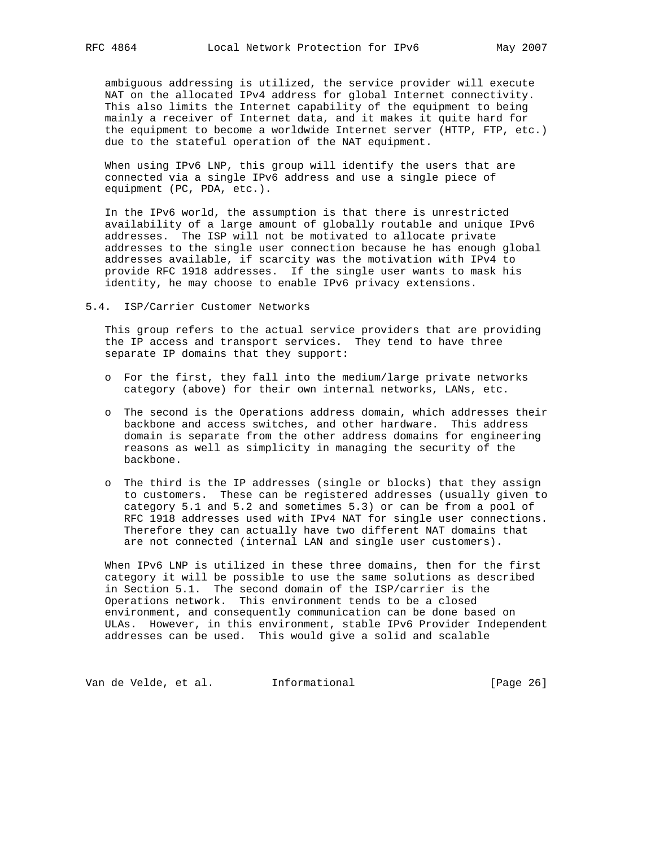ambiguous addressing is utilized, the service provider will execute NAT on the allocated IPv4 address for global Internet connectivity. This also limits the Internet capability of the equipment to being mainly a receiver of Internet data, and it makes it quite hard for the equipment to become a worldwide Internet server (HTTP, FTP, etc.) due to the stateful operation of the NAT equipment.

 When using IPv6 LNP, this group will identify the users that are connected via a single IPv6 address and use a single piece of equipment (PC, PDA, etc.).

 In the IPv6 world, the assumption is that there is unrestricted availability of a large amount of globally routable and unique IPv6 addresses. The ISP will not be motivated to allocate private addresses to the single user connection because he has enough global addresses available, if scarcity was the motivation with IPv4 to provide RFC 1918 addresses. If the single user wants to mask his identity, he may choose to enable IPv6 privacy extensions.

5.4. ISP/Carrier Customer Networks

 This group refers to the actual service providers that are providing the IP access and transport services. They tend to have three separate IP domains that they support:

- o For the first, they fall into the medium/large private networks category (above) for their own internal networks, LANs, etc.
- o The second is the Operations address domain, which addresses their backbone and access switches, and other hardware. This address domain is separate from the other address domains for engineering reasons as well as simplicity in managing the security of the backbone.
- o The third is the IP addresses (single or blocks) that they assign to customers. These can be registered addresses (usually given to category 5.1 and 5.2 and sometimes 5.3) or can be from a pool of RFC 1918 addresses used with IPv4 NAT for single user connections. Therefore they can actually have two different NAT domains that are not connected (internal LAN and single user customers).

 When IPv6 LNP is utilized in these three domains, then for the first category it will be possible to use the same solutions as described in Section 5.1. The second domain of the ISP/carrier is the Operations network. This environment tends to be a closed environment, and consequently communication can be done based on ULAs. However, in this environment, stable IPv6 Provider Independent addresses can be used. This would give a solid and scalable

Van de Velde, et al. 1nformational (Page 26)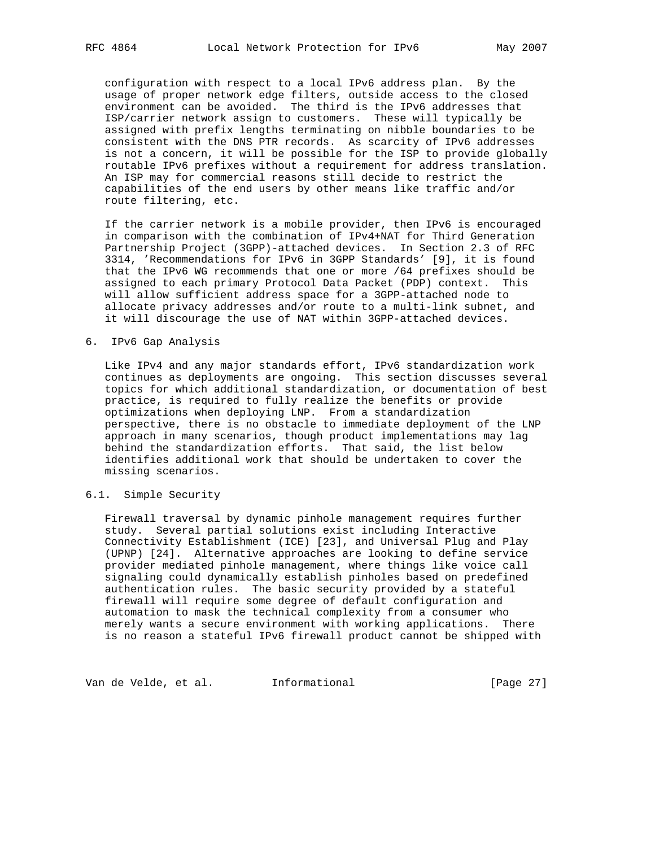configuration with respect to a local IPv6 address plan. By the usage of proper network edge filters, outside access to the closed environment can be avoided. The third is the IPv6 addresses that ISP/carrier network assign to customers. These will typically be assigned with prefix lengths terminating on nibble boundaries to be consistent with the DNS PTR records. As scarcity of IPv6 addresses is not a concern, it will be possible for the ISP to provide globally routable IPv6 prefixes without a requirement for address translation. An ISP may for commercial reasons still decide to restrict the capabilities of the end users by other means like traffic and/or route filtering, etc.

 If the carrier network is a mobile provider, then IPv6 is encouraged in comparison with the combination of IPv4+NAT for Third Generation Partnership Project (3GPP)-attached devices. In Section 2.3 of RFC 3314, 'Recommendations for IPv6 in 3GPP Standards' [9], it is found that the IPv6 WG recommends that one or more /64 prefixes should be assigned to each primary Protocol Data Packet (PDP) context. This will allow sufficient address space for a 3GPP-attached node to allocate privacy addresses and/or route to a multi-link subnet, and it will discourage the use of NAT within 3GPP-attached devices.

6. IPv6 Gap Analysis

 Like IPv4 and any major standards effort, IPv6 standardization work continues as deployments are ongoing. This section discusses several topics for which additional standardization, or documentation of best practice, is required to fully realize the benefits or provide optimizations when deploying LNP. From a standardization perspective, there is no obstacle to immediate deployment of the LNP approach in many scenarios, though product implementations may lag behind the standardization efforts. That said, the list below identifies additional work that should be undertaken to cover the missing scenarios.

# 6.1. Simple Security

 Firewall traversal by dynamic pinhole management requires further study. Several partial solutions exist including Interactive Connectivity Establishment (ICE) [23], and Universal Plug and Play (UPNP) [24]. Alternative approaches are looking to define service provider mediated pinhole management, where things like voice call signaling could dynamically establish pinholes based on predefined authentication rules. The basic security provided by a stateful firewall will require some degree of default configuration and automation to mask the technical complexity from a consumer who merely wants a secure environment with working applications. There is no reason a stateful IPv6 firewall product cannot be shipped with

Van de Velde, et al. 1nformational (Page 27)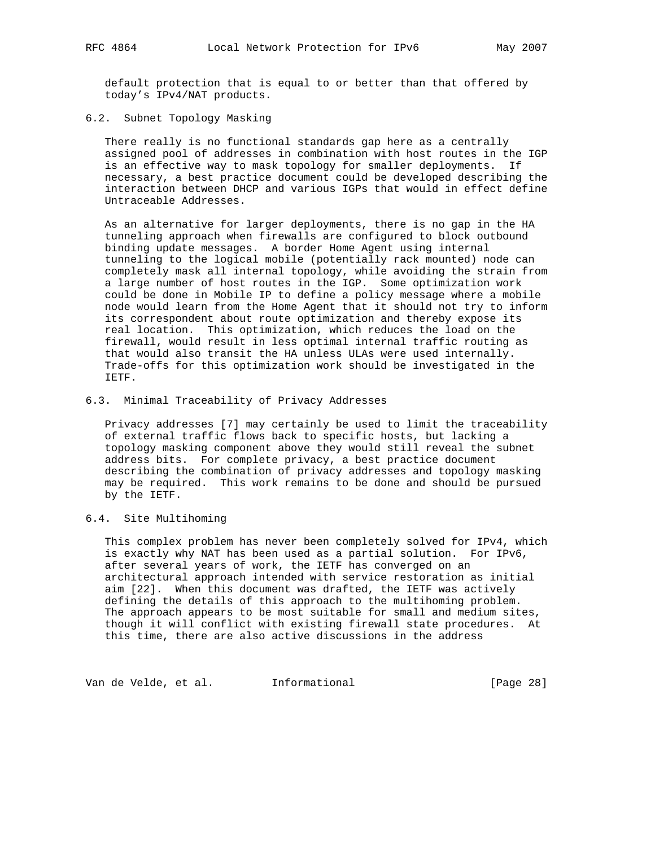default protection that is equal to or better than that offered by today's IPv4/NAT products.

6.2. Subnet Topology Masking

 There really is no functional standards gap here as a centrally assigned pool of addresses in combination with host routes in the IGP is an effective way to mask topology for smaller deployments. If necessary, a best practice document could be developed describing the interaction between DHCP and various IGPs that would in effect define Untraceable Addresses.

 As an alternative for larger deployments, there is no gap in the HA tunneling approach when firewalls are configured to block outbound binding update messages. A border Home Agent using internal tunneling to the logical mobile (potentially rack mounted) node can completely mask all internal topology, while avoiding the strain from a large number of host routes in the IGP. Some optimization work could be done in Mobile IP to define a policy message where a mobile node would learn from the Home Agent that it should not try to inform its correspondent about route optimization and thereby expose its real location. This optimization, which reduces the load on the firewall, would result in less optimal internal traffic routing as that would also transit the HA unless ULAs were used internally. Trade-offs for this optimization work should be investigated in the IETF.

## 6.3. Minimal Traceability of Privacy Addresses

 Privacy addresses [7] may certainly be used to limit the traceability of external traffic flows back to specific hosts, but lacking a topology masking component above they would still reveal the subnet address bits. For complete privacy, a best practice document describing the combination of privacy addresses and topology masking may be required. This work remains to be done and should be pursued by the IETF.

## 6.4. Site Multihoming

 This complex problem has never been completely solved for IPv4, which is exactly why NAT has been used as a partial solution. For IPv6, after several years of work, the IETF has converged on an architectural approach intended with service restoration as initial aim [22]. When this document was drafted, the IETF was actively defining the details of this approach to the multihoming problem. The approach appears to be most suitable for small and medium sites, though it will conflict with existing firewall state procedures. At this time, there are also active discussions in the address

Van de Velde, et al. 1nformational (Page 28)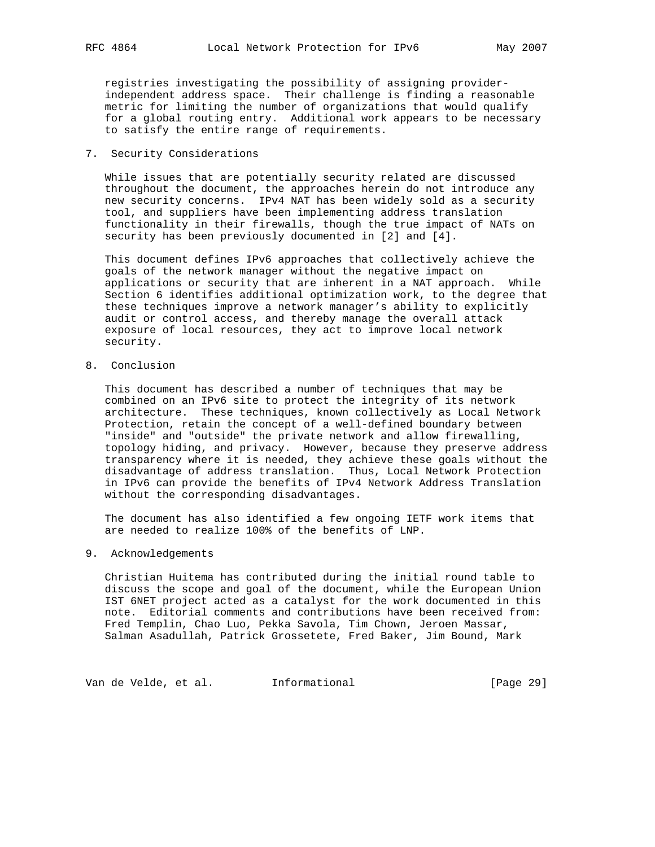registries investigating the possibility of assigning provider independent address space. Their challenge is finding a reasonable metric for limiting the number of organizations that would qualify for a global routing entry. Additional work appears to be necessary to satisfy the entire range of requirements.

# 7. Security Considerations

 While issues that are potentially security related are discussed throughout the document, the approaches herein do not introduce any new security concerns. IPv4 NAT has been widely sold as a security tool, and suppliers have been implementing address translation functionality in their firewalls, though the true impact of NATs on security has been previously documented in [2] and [4].

 This document defines IPv6 approaches that collectively achieve the goals of the network manager without the negative impact on applications or security that are inherent in a NAT approach. While Section 6 identifies additional optimization work, to the degree that these techniques improve a network manager's ability to explicitly audit or control access, and thereby manage the overall attack exposure of local resources, they act to improve local network security.

8. Conclusion

 This document has described a number of techniques that may be combined on an IPv6 site to protect the integrity of its network architecture. These techniques, known collectively as Local Network Protection, retain the concept of a well-defined boundary between "inside" and "outside" the private network and allow firewalling, topology hiding, and privacy. However, because they preserve address transparency where it is needed, they achieve these goals without the disadvantage of address translation. Thus, Local Network Protection in IPv6 can provide the benefits of IPv4 Network Address Translation without the corresponding disadvantages.

 The document has also identified a few ongoing IETF work items that are needed to realize 100% of the benefits of LNP.

9. Acknowledgements

 Christian Huitema has contributed during the initial round table to discuss the scope and goal of the document, while the European Union IST 6NET project acted as a catalyst for the work documented in this note. Editorial comments and contributions have been received from: Fred Templin, Chao Luo, Pekka Savola, Tim Chown, Jeroen Massar, Salman Asadullah, Patrick Grossetete, Fred Baker, Jim Bound, Mark

Van de Velde, et al. 1nformational (Page 29)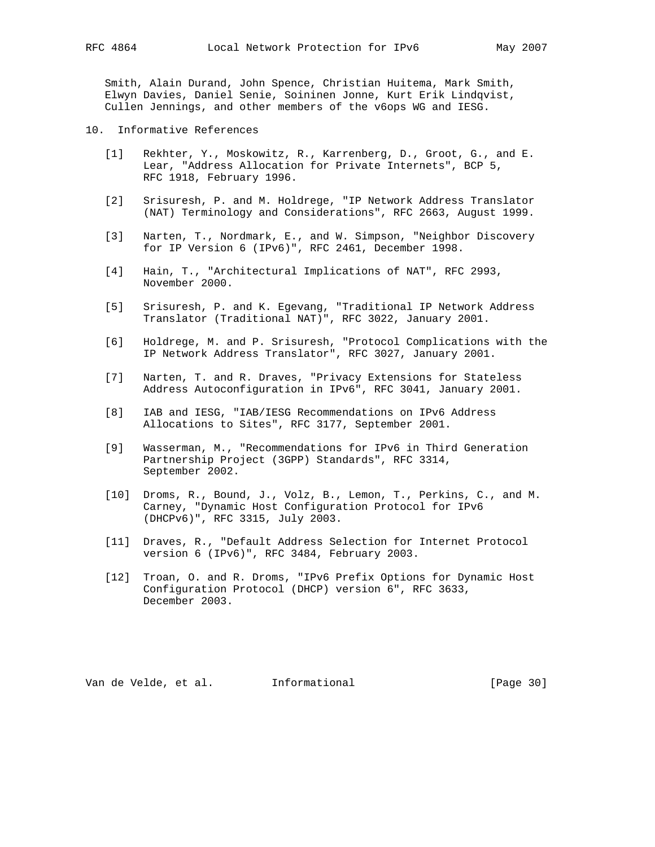Smith, Alain Durand, John Spence, Christian Huitema, Mark Smith, Elwyn Davies, Daniel Senie, Soininen Jonne, Kurt Erik Lindqvist, Cullen Jennings, and other members of the v6ops WG and IESG.

- 10. Informative References
	- [1] Rekhter, Y., Moskowitz, R., Karrenberg, D., Groot, G., and E. Lear, "Address Allocation for Private Internets", BCP 5, RFC 1918, February 1996.
	- [2] Srisuresh, P. and M. Holdrege, "IP Network Address Translator (NAT) Terminology and Considerations", RFC 2663, August 1999.
	- [3] Narten, T., Nordmark, E., and W. Simpson, "Neighbor Discovery for IP Version 6 (IPv6)", RFC 2461, December 1998.
	- [4] Hain, T., "Architectural Implications of NAT", RFC 2993, November 2000.
	- [5] Srisuresh, P. and K. Egevang, "Traditional IP Network Address Translator (Traditional NAT)", RFC 3022, January 2001.
- [6] Holdrege, M. and P. Srisuresh, "Protocol Complications with the IP Network Address Translator", RFC 3027, January 2001.
	- [7] Narten, T. and R. Draves, "Privacy Extensions for Stateless Address Autoconfiguration in IPv6", RFC 3041, January 2001.
	- [8] IAB and IESG, "IAB/IESG Recommendations on IPv6 Address Allocations to Sites", RFC 3177, September 2001.
	- [9] Wasserman, M., "Recommendations for IPv6 in Third Generation Partnership Project (3GPP) Standards", RFC 3314, September 2002.
	- [10] Droms, R., Bound, J., Volz, B., Lemon, T., Perkins, C., and M. Carney, "Dynamic Host Configuration Protocol for IPv6 (DHCPv6)", RFC 3315, July 2003.
	- [11] Draves, R., "Default Address Selection for Internet Protocol version 6 (IPv6)", RFC 3484, February 2003.
	- [12] Troan, O. and R. Droms, "IPv6 Prefix Options for Dynamic Host Configuration Protocol (DHCP) version 6", RFC 3633, December 2003.

Van de Velde, et al. Informational [Page 30]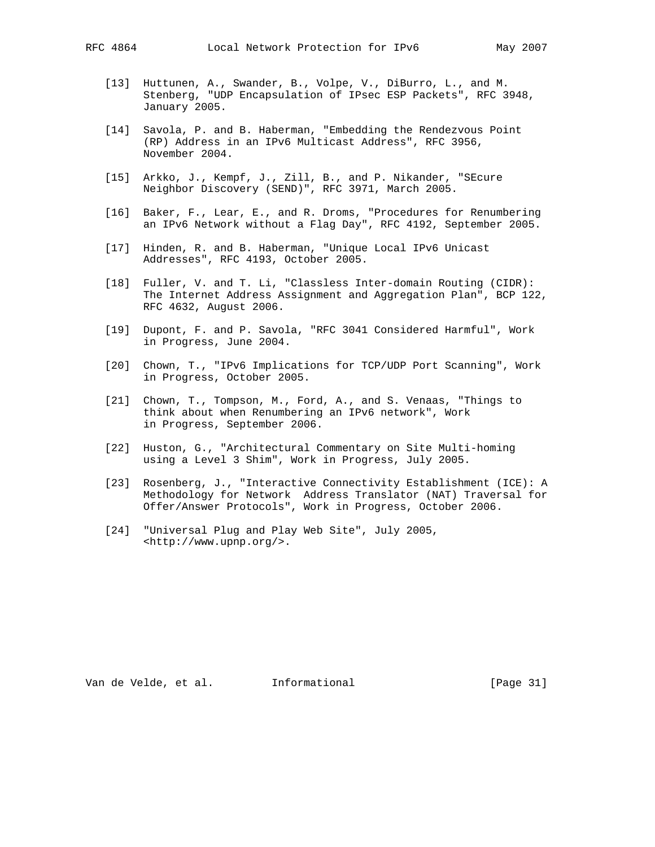- [13] Huttunen, A., Swander, B., Volpe, V., DiBurro, L., and M. Stenberg, "UDP Encapsulation of IPsec ESP Packets", RFC 3948, January 2005.
- [14] Savola, P. and B. Haberman, "Embedding the Rendezvous Point (RP) Address in an IPv6 Multicast Address", RFC 3956, November 2004.
- [15] Arkko, J., Kempf, J., Zill, B., and P. Nikander, "SEcure Neighbor Discovery (SEND)", RFC 3971, March 2005.
- [16] Baker, F., Lear, E., and R. Droms, "Procedures for Renumbering an IPv6 Network without a Flag Day", RFC 4192, September 2005.
- [17] Hinden, R. and B. Haberman, "Unique Local IPv6 Unicast Addresses", RFC 4193, October 2005.
- [18] Fuller, V. and T. Li, "Classless Inter-domain Routing (CIDR): The Internet Address Assignment and Aggregation Plan", BCP 122, RFC 4632, August 2006.
- [19] Dupont, F. and P. Savola, "RFC 3041 Considered Harmful", Work in Progress, June 2004.
- [20] Chown, T., "IPv6 Implications for TCP/UDP Port Scanning", Work in Progress, October 2005.
- [21] Chown, T., Tompson, M., Ford, A., and S. Venaas, "Things to think about when Renumbering an IPv6 network", Work in Progress, September 2006.
- [22] Huston, G., "Architectural Commentary on Site Multi-homing using a Level 3 Shim", Work in Progress, July 2005.
- [23] Rosenberg, J., "Interactive Connectivity Establishment (ICE): A Methodology for Network Address Translator (NAT) Traversal for Offer/Answer Protocols", Work in Progress, October 2006.
- [24] "Universal Plug and Play Web Site", July 2005, <http://www.upnp.org/>.

Van de Velde, et al. Informational [Page 31]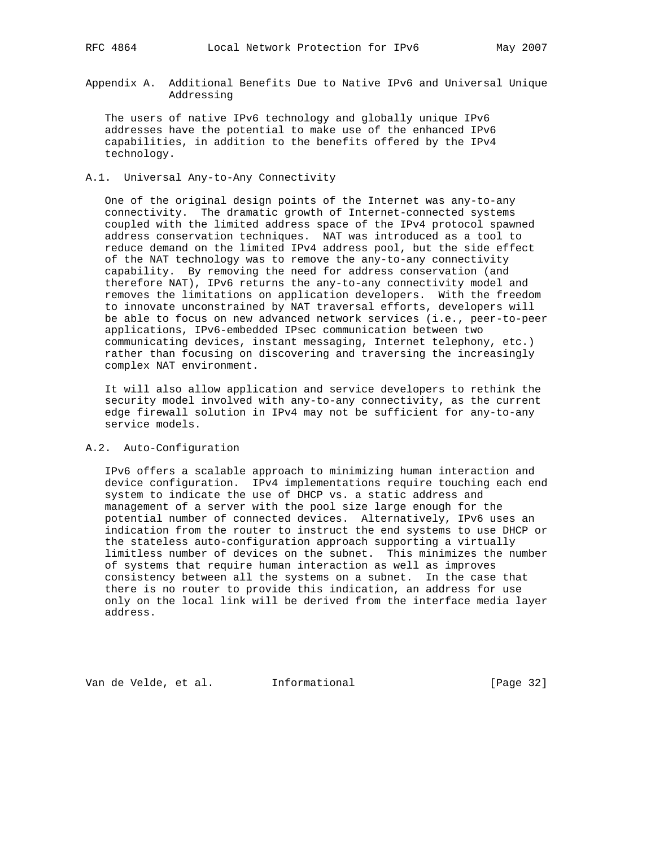Appendix A. Additional Benefits Due to Native IPv6 and Universal Unique Addressing

 The users of native IPv6 technology and globally unique IPv6 addresses have the potential to make use of the enhanced IPv6 capabilities, in addition to the benefits offered by the IPv4 technology.

# A.1. Universal Any-to-Any Connectivity

 One of the original design points of the Internet was any-to-any connectivity. The dramatic growth of Internet-connected systems coupled with the limited address space of the IPv4 protocol spawned address conservation techniques. NAT was introduced as a tool to reduce demand on the limited IPv4 address pool, but the side effect of the NAT technology was to remove the any-to-any connectivity capability. By removing the need for address conservation (and therefore NAT), IPv6 returns the any-to-any connectivity model and removes the limitations on application developers. With the freedom to innovate unconstrained by NAT traversal efforts, developers will be able to focus on new advanced network services (i.e., peer-to-peer applications, IPv6-embedded IPsec communication between two communicating devices, instant messaging, Internet telephony, etc.) rather than focusing on discovering and traversing the increasingly complex NAT environment.

 It will also allow application and service developers to rethink the security model involved with any-to-any connectivity, as the current edge firewall solution in IPv4 may not be sufficient for any-to-any service models.

# A.2. Auto-Configuration

 IPv6 offers a scalable approach to minimizing human interaction and device configuration. IPv4 implementations require touching each end system to indicate the use of DHCP vs. a static address and management of a server with the pool size large enough for the potential number of connected devices. Alternatively, IPv6 uses an indication from the router to instruct the end systems to use DHCP or the stateless auto-configuration approach supporting a virtually limitless number of devices on the subnet. This minimizes the number of systems that require human interaction as well as improves consistency between all the systems on a subnet. In the case that there is no router to provide this indication, an address for use only on the local link will be derived from the interface media layer address.

Van de Velde, et al. Informational [Page 32]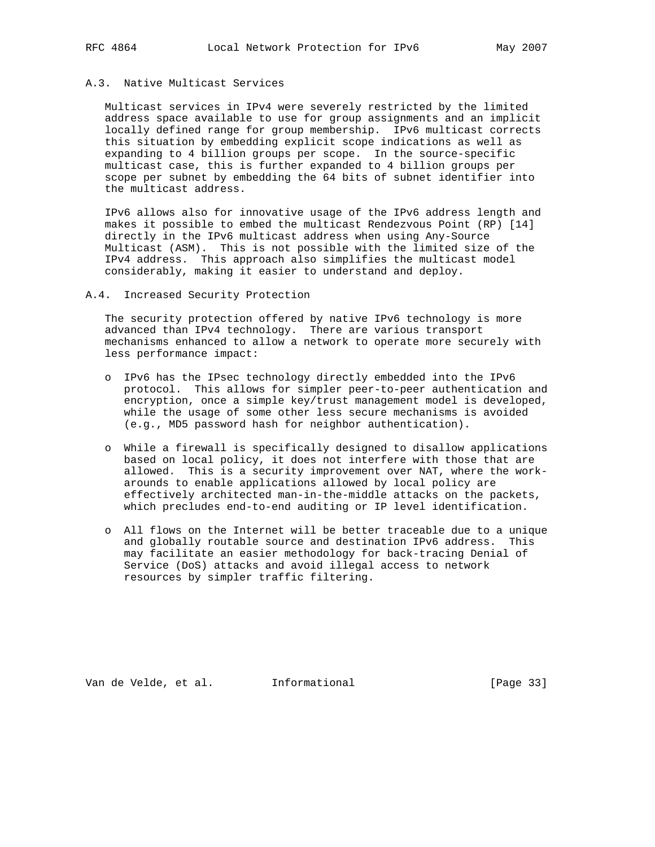# A.3. Native Multicast Services

 Multicast services in IPv4 were severely restricted by the limited address space available to use for group assignments and an implicit locally defined range for group membership. IPv6 multicast corrects this situation by embedding explicit scope indications as well as expanding to 4 billion groups per scope. In the source-specific multicast case, this is further expanded to 4 billion groups per scope per subnet by embedding the 64 bits of subnet identifier into the multicast address.

 IPv6 allows also for innovative usage of the IPv6 address length and makes it possible to embed the multicast Rendezvous Point (RP) [14] directly in the IPv6 multicast address when using Any-Source Multicast (ASM). This is not possible with the limited size of the IPv4 address. This approach also simplifies the multicast model considerably, making it easier to understand and deploy.

## A.4. Increased Security Protection

 The security protection offered by native IPv6 technology is more advanced than IPv4 technology. There are various transport mechanisms enhanced to allow a network to operate more securely with less performance impact:

- o IPv6 has the IPsec technology directly embedded into the IPv6 protocol. This allows for simpler peer-to-peer authentication and encryption, once a simple key/trust management model is developed, while the usage of some other less secure mechanisms is avoided (e.g., MD5 password hash for neighbor authentication).
- o While a firewall is specifically designed to disallow applications based on local policy, it does not interfere with those that are allowed. This is a security improvement over NAT, where the work arounds to enable applications allowed by local policy are effectively architected man-in-the-middle attacks on the packets, which precludes end-to-end auditing or IP level identification.
- o All flows on the Internet will be better traceable due to a unique and globally routable source and destination IPv6 address. This may facilitate an easier methodology for back-tracing Denial of Service (DoS) attacks and avoid illegal access to network resources by simpler traffic filtering.

Van de Velde, et al. Informational [Page 33]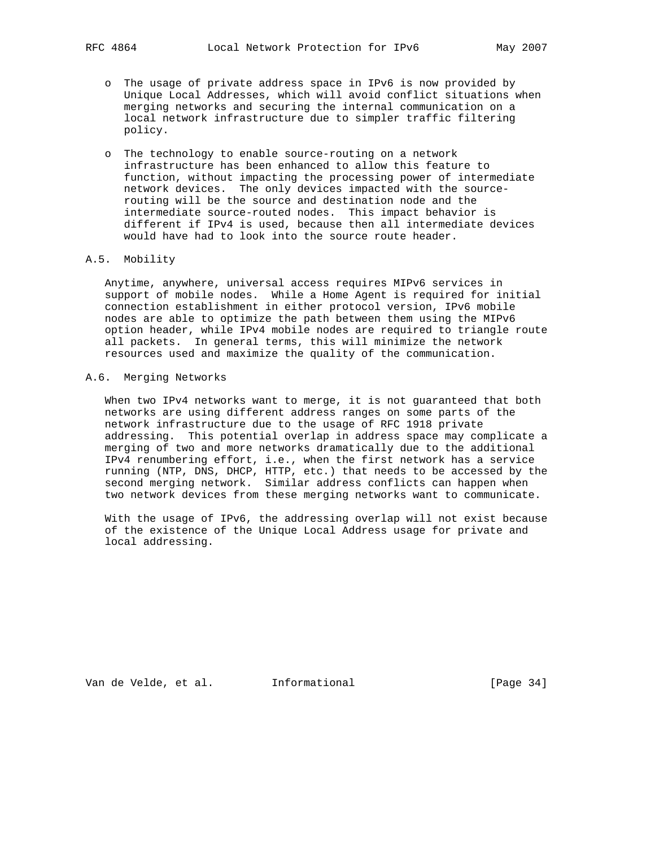- o The usage of private address space in IPv6 is now provided by Unique Local Addresses, which will avoid conflict situations when merging networks and securing the internal communication on a local network infrastructure due to simpler traffic filtering policy.
- o The technology to enable source-routing on a network infrastructure has been enhanced to allow this feature to function, without impacting the processing power of intermediate network devices. The only devices impacted with the source routing will be the source and destination node and the intermediate source-routed nodes. This impact behavior is different if IPv4 is used, because then all intermediate devices would have had to look into the source route header.

## A.5. Mobility

 Anytime, anywhere, universal access requires MIPv6 services in support of mobile nodes. While a Home Agent is required for initial connection establishment in either protocol version, IPv6 mobile nodes are able to optimize the path between them using the MIPv6 option header, while IPv4 mobile nodes are required to triangle route all packets. In general terms, this will minimize the network resources used and maximize the quality of the communication.

# A.6. Merging Networks

 When two IPv4 networks want to merge, it is not guaranteed that both networks are using different address ranges on some parts of the network infrastructure due to the usage of RFC 1918 private addressing. This potential overlap in address space may complicate a merging of two and more networks dramatically due to the additional IPv4 renumbering effort, i.e., when the first network has a service running (NTP, DNS, DHCP, HTTP, etc.) that needs to be accessed by the second merging network. Similar address conflicts can happen when two network devices from these merging networks want to communicate.

 With the usage of IPv6, the addressing overlap will not exist because of the existence of the Unique Local Address usage for private and local addressing.

Van de Velde, et al. Informational [Page 34]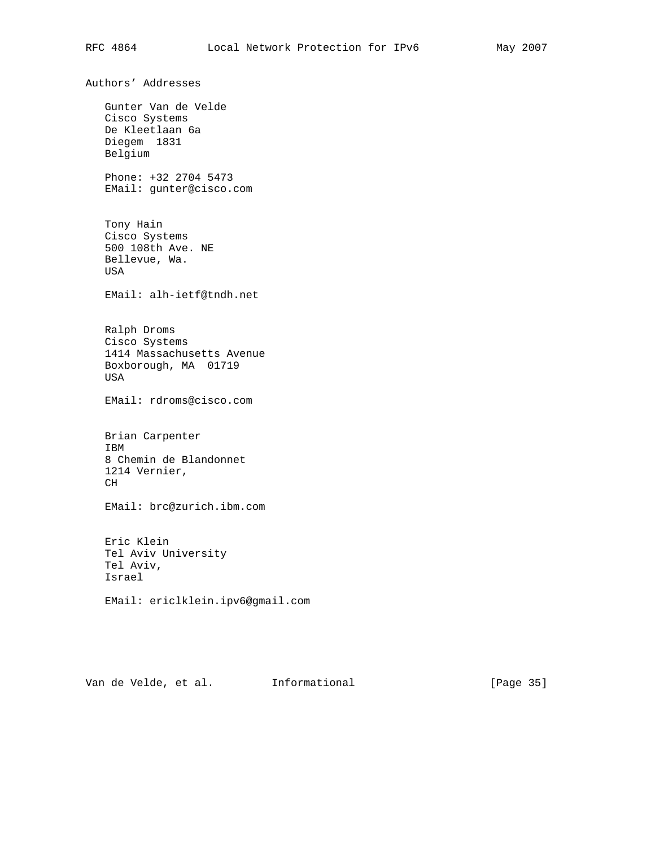Authors' Addresses Gunter Van de Velde Cisco Systems De Kleetlaan 6a Diegem 1831 Belgium Phone: +32 2704 5473 EMail: gunter@cisco.com Tony Hain Cisco Systems 500 108th Ave. NE Bellevue, Wa. USA EMail: alh-ietf@tndh.net Ralph Droms Cisco Systems 1414 Massachusetts Avenue Boxborough, MA 01719 USA EMail: rdroms@cisco.com Brian Carpenter IBM 8 Chemin de Blandonnet 1214 Vernier, CH EMail: brc@zurich.ibm.com Eric Klein Tel Aviv University Tel Aviv, Israel EMail: ericlklein.ipv6@gmail.com

Van de Velde, et al. 1nformational (Page 35)